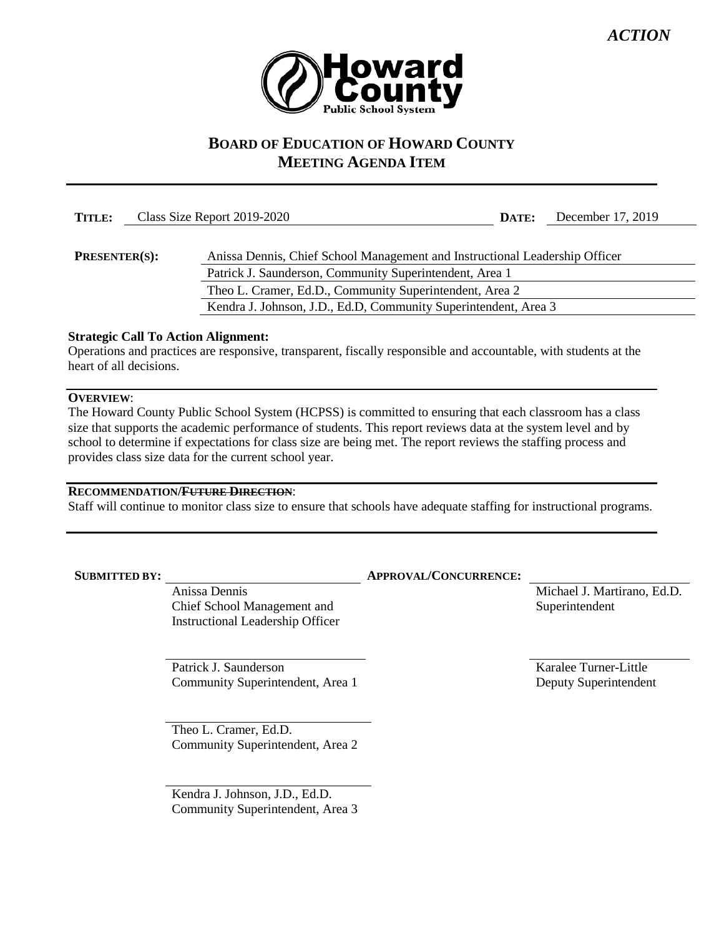

# **BOARD OF EDUCATION OF HOWARD COUNTY MEETING AGENDA ITEM**

| TITLE:               | Class Size Report 2019-2020                                                 | DATE: | December 17, 2019 |
|----------------------|-----------------------------------------------------------------------------|-------|-------------------|
|                      |                                                                             |       |                   |
| <b>PRESENTER(S):</b> | Anissa Dennis, Chief School Management and Instructional Leadership Officer |       |                   |
|                      | Patrick J. Saunderson, Community Superintendent, Area 1                     |       |                   |
|                      | Theo L. Cramer, Ed.D., Community Superintendent, Area 2                     |       |                   |
|                      | Kendra J. Johnson, J.D., Ed.D, Community Superintendent, Area 3             |       |                   |

## **Strategic Call To Action Alignment:**

Operations and practices are responsive, transparent, fiscally responsible and accountable, with students at the heart of all decisions.

## **OVERVIEW**:

The Howard County Public School System (HCPSS) is committed to ensuring that each classroom has a class size that supports the academic performance of students. This report reviews data at the system level and by school to determine if expectations for class size are being met. The report reviews the staffing process and provides class size data for the current school year.

#### **RECOMMENDATION/FUTURE DIRECTION**:

Staff will continue to monitor class size to ensure that schools have adequate staffing for instructional programs.

Anissa Dennis Chief School Management and Instructional Leadership Officer

Patrick J. Saunderson Community Superintendent, Area 1

Theo L. Cramer, Ed.D. Community Superintendent, Area 2

Kendra J. Johnson, J.D., Ed.D. Community Superintendent, Area 3

#### **SUBMITTED BY: APPROVAL/CONCURRENCE:**

Michael J. Martirano, Ed.D. Superintendent

Karalee Turner-Little Deputy Superintendent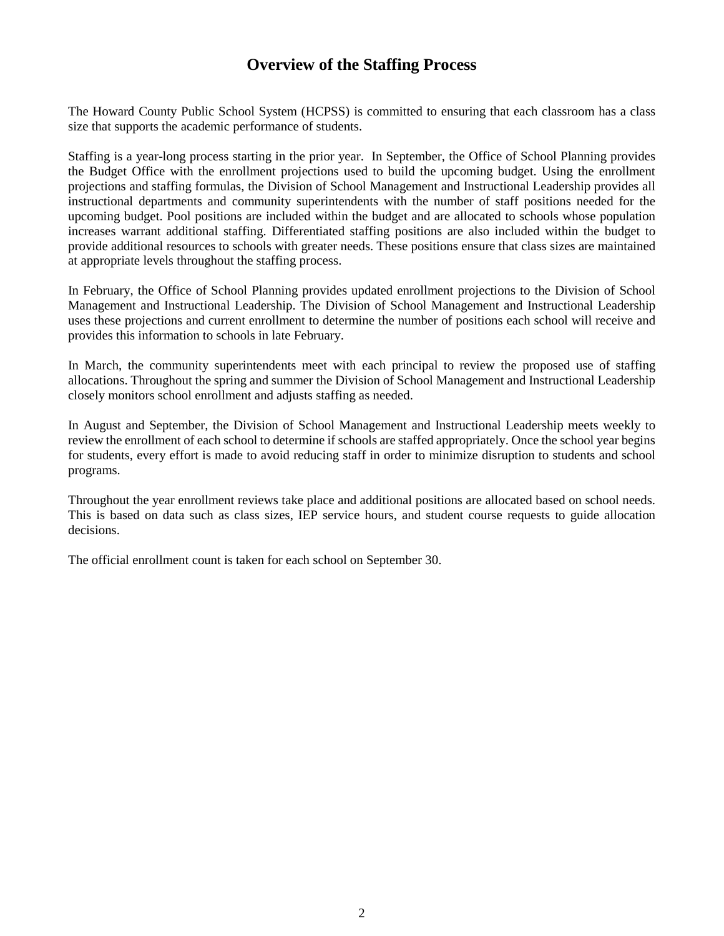# **Overview of the Staffing Process**

The Howard County Public School System (HCPSS) is committed to ensuring that each classroom has a class size that supports the academic performance of students.

Staffing is a year-long process starting in the prior year. In September, the Office of School Planning provides the Budget Office with the enrollment projections used to build the upcoming budget. Using the enrollment projections and staffing formulas, the Division of School Management and Instructional Leadership provides all instructional departments and community superintendents with the number of staff positions needed for the upcoming budget. Pool positions are included within the budget and are allocated to schools whose population increases warrant additional staffing. Differentiated staffing positions are also included within the budget to provide additional resources to schools with greater needs. These positions ensure that class sizes are maintained at appropriate levels throughout the staffing process.

In February, the Office of School Planning provides updated enrollment projections to the Division of School Management and Instructional Leadership. The Division of School Management and Instructional Leadership uses these projections and current enrollment to determine the number of positions each school will receive and provides this information to schools in late February.

In March, the community superintendents meet with each principal to review the proposed use of staffing allocations. Throughout the spring and summer the Division of School Management and Instructional Leadership closely monitors school enrollment and adjusts staffing as needed.

In August and September, the Division of School Management and Instructional Leadership meets weekly to review the enrollment of each school to determine if schools are staffed appropriately. Once the school year begins for students, every effort is made to avoid reducing staff in order to minimize disruption to students and school programs.

Throughout the year enrollment reviews take place and additional positions are allocated based on school needs. This is based on data such as class sizes, IEP service hours, and student course requests to guide allocation decisions.

The official enrollment count is taken for each school on September 30.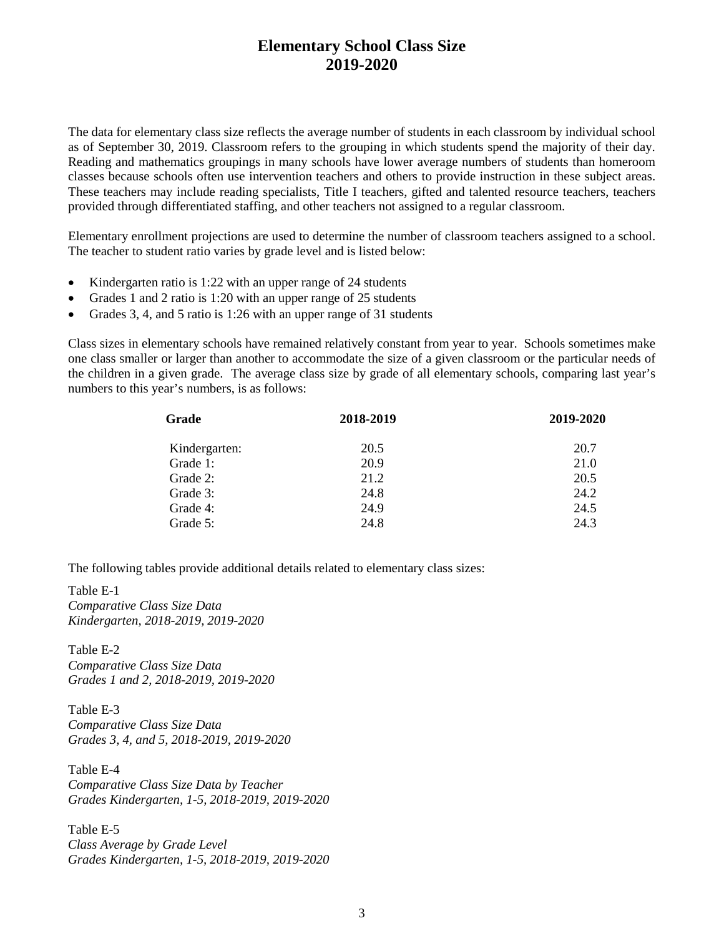# **Elementary School Class Size 2019-2020**

The data for elementary class size reflects the average number of students in each classroom by individual school as of September 30, 2019. Classroom refers to the grouping in which students spend the majority of their day. Reading and mathematics groupings in many schools have lower average numbers of students than homeroom classes because schools often use intervention teachers and others to provide instruction in these subject areas. These teachers may include reading specialists, Title I teachers, gifted and talented resource teachers, teachers provided through differentiated staffing, and other teachers not assigned to a regular classroom.

Elementary enrollment projections are used to determine the number of classroom teachers assigned to a school. The teacher to student ratio varies by grade level and is listed below:

- Kindergarten ratio is 1:22 with an upper range of 24 students
- Grades 1 and 2 ratio is 1:20 with an upper range of 25 students
- Grades 3, 4, and 5 ratio is 1:26 with an upper range of 31 students

Class sizes in elementary schools have remained relatively constant from year to year. Schools sometimes make one class smaller or larger than another to accommodate the size of a given classroom or the particular needs of the children in a given grade. The average class size by grade of all elementary schools, comparing last year's numbers to this year's numbers, is as follows:

| Grade         | 2018-2019 | 2019-2020 |
|---------------|-----------|-----------|
| Kindergarten: | 20.5      | 20.7      |
| Grade 1:      | 20.9      | 21.0      |
| Grade 2:      | 21.2      | 20.5      |
| Grade 3:      | 24.8      | 24.2      |
| Grade 4:      | 24.9      | 24.5      |
| Grade 5:      | 24.8      | 24.3      |

The following tables provide additional details related to elementary class sizes:

Table E-1 *Comparative Class Size Data Kindergarten, 2018-2019, 2019-2020*

Table E-2 *Comparative Class Size Data Grades 1 and 2, 2018-2019, 2019-2020*

Table E-3 *Comparative Class Size Data Grades 3, 4, and 5, 2018-2019, 2019-2020*

Table E-4 *Comparative Class Size Data by Teacher Grades Kindergarten, 1-5, 2018-2019, 2019-2020*

Table E-5 *Class Average by Grade Level Grades Kindergarten, 1-5, 2018-2019, 2019-2020*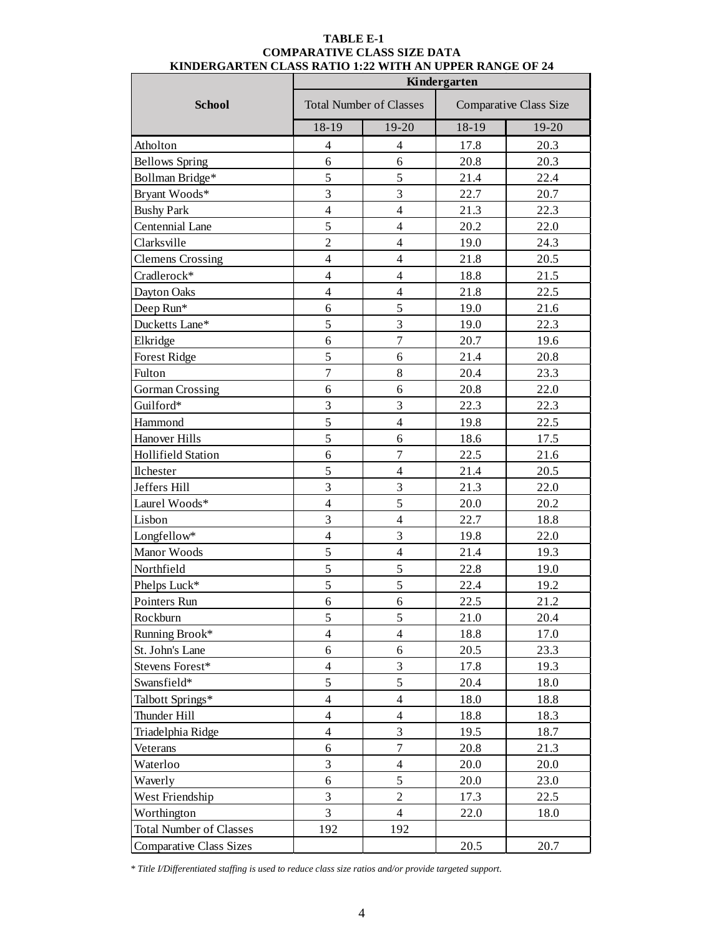|                                | Kindergarten            |                                |       |                               |  |  |  |
|--------------------------------|-------------------------|--------------------------------|-------|-------------------------------|--|--|--|
| <b>School</b>                  |                         | <b>Total Number of Classes</b> |       | <b>Comparative Class Size</b> |  |  |  |
|                                | 18-19                   | 19-20                          | 18-19 | 19-20                         |  |  |  |
| Atholton                       | $\overline{4}$          | $\overline{4}$                 | 17.8  | 20.3                          |  |  |  |
| <b>Bellows Spring</b>          | 6                       | 6                              | 20.8  | 20.3                          |  |  |  |
| Bollman Bridge*                | 5                       | 5                              | 21.4  | 22.4                          |  |  |  |
| Bryant Woods*                  | $\overline{3}$          | 3                              | 22.7  | 20.7                          |  |  |  |
| <b>Bushy Park</b>              | $\overline{\mathbf{4}}$ | $\overline{4}$                 | 21.3  | 22.3                          |  |  |  |
| Centennial Lane                | 5                       | $\overline{4}$                 | 20.2  | 22.0                          |  |  |  |
| Clarksville                    | $\overline{2}$          | $\overline{4}$                 | 19.0  | 24.3                          |  |  |  |
| <b>Clemens Crossing</b>        | $\overline{4}$          | $\overline{4}$                 | 21.8  | 20.5                          |  |  |  |
| Cradlerock*                    | $\overline{4}$          | 4                              | 18.8  | 21.5                          |  |  |  |
| Dayton Oaks                    | $\overline{\mathbf{4}}$ | $\overline{4}$                 | 21.8  | 22.5                          |  |  |  |
| Deep Run*                      | 6                       | 5                              | 19.0  | 21.6                          |  |  |  |
| Ducketts Lane*                 | 5                       | 3                              | 19.0  | 22.3                          |  |  |  |
| Elkridge                       | 6                       | $\overline{7}$                 | 20.7  | 19.6                          |  |  |  |
| <b>Forest Ridge</b>            | 5                       | 6                              | 21.4  | 20.8                          |  |  |  |
| Fulton                         | $\boldsymbol{7}$        | $8\,$                          | 20.4  | 23.3                          |  |  |  |
| <b>Gorman Crossing</b>         | 6                       | 6                              | 20.8  | 22.0                          |  |  |  |
| Guilford*                      | $\overline{3}$          | 3                              | 22.3  | 22.3                          |  |  |  |
| Hammond                        | 5                       | $\overline{4}$                 | 19.8  | 22.5                          |  |  |  |
| Hanover Hills                  | 5                       | 6                              | 18.6  | 17.5                          |  |  |  |
| <b>Hollifield Station</b>      | 6                       | $\overline{7}$                 | 22.5  | 21.6                          |  |  |  |
| Ilchester                      | 5                       | $\overline{4}$                 | 21.4  | 20.5                          |  |  |  |
| Jeffers Hill                   | $\overline{3}$          | 3                              | 21.3  | 22.0                          |  |  |  |
| Laurel Woods*                  | $\overline{\mathbf{4}}$ | 5                              | 20.0  | 20.2                          |  |  |  |
| Lisbon                         | $\overline{3}$          | $\overline{4}$                 | 22.7  | 18.8                          |  |  |  |
| Longfellow*                    | $\overline{4}$          | 3                              | 19.8  | 22.0                          |  |  |  |
| Manor Woods                    | 5                       | $\overline{4}$                 | 21.4  | 19.3                          |  |  |  |
| Northfield                     | 5                       | $\sqrt{5}$                     | 22.8  | 19.0                          |  |  |  |
| Phelps Luck*                   | 5                       | 5                              | 22.4  | 19.2                          |  |  |  |
| Pointers Run                   | $\boldsymbol{6}$        | $\sqrt{6}$                     | 22.5  | 21.2                          |  |  |  |
| Rockburn                       | 5                       | 5                              | 21.0  | 20.4                          |  |  |  |
| Running Brook*                 | $\overline{\mathbf{4}}$ | $\overline{4}$                 | 18.8  | 17.0                          |  |  |  |
| St. John's Lane                | 6                       | $\sqrt{6}$                     | 20.5  | 23.3                          |  |  |  |
| Stevens Forest*                | $\overline{4}$          | 3                              | 17.8  | 19.3                          |  |  |  |
| Swansfield*                    | 5                       | 5                              | 20.4  | 18.0                          |  |  |  |
| Talbott Springs*               | $\overline{4}$          | $\overline{4}$                 | 18.0  | 18.8                          |  |  |  |
| Thunder Hill                   | $\overline{4}$          | $\overline{4}$                 | 18.8  | 18.3                          |  |  |  |
| Triadelphia Ridge              | $\overline{\mathbf{4}}$ | 3                              | 19.5  | 18.7                          |  |  |  |
| Veterans                       | 6                       | $\boldsymbol{7}$               | 20.8  | 21.3                          |  |  |  |
| Waterloo                       | 3                       | $\overline{4}$                 | 20.0  | 20.0                          |  |  |  |
| Waverly                        | 6                       | 5                              | 20.0  | 23.0                          |  |  |  |
| West Friendship                | $\overline{3}$          | $\overline{2}$                 | 17.3  | 22.5                          |  |  |  |
| Worthington                    | 3                       | $\overline{4}$                 | 22.0  | 18.0                          |  |  |  |
| <b>Total Number of Classes</b> | 192                     | 192                            |       |                               |  |  |  |
| <b>Comparative Class Sizes</b> |                         |                                | 20.5  | 20.7                          |  |  |  |

#### **TABLE E-1 COMPARATIVE CLASS SIZE DATA KINDERGARTEN CLASS RATIO 1:22 WITH AN UPPER RANGE OF 24**

 *\* Title I/Differentiated staffing is used to reduce class size ratios and/or provide targeted support.*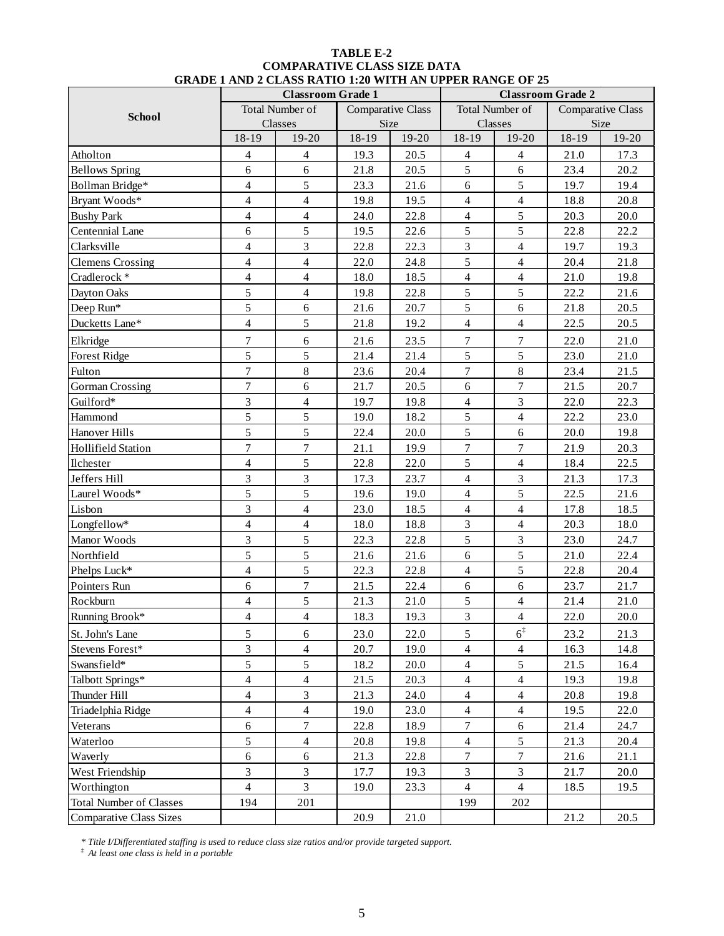|                                |                          | <b>Classroom Grade 1</b> |                          |         |                  | <b>Classroom Grade 2</b> |       |                   |  |
|--------------------------------|--------------------------|--------------------------|--------------------------|---------|------------------|--------------------------|-------|-------------------|--|
| <b>School</b>                  |                          | <b>Total Number of</b>   | <b>Comparative Class</b> |         |                  | Total Number of          |       | Comparative Class |  |
|                                | Classes                  |                          | Size                     |         |                  | Classes                  | Size  |                   |  |
|                                | 18-19                    | 19-20                    | 18-19                    | $19-20$ | 18-19            | 19-20                    | 18-19 | 19-20             |  |
| Atholton                       | 4                        | $\overline{4}$           | 19.3                     | 20.5    | $\overline{4}$   | $\overline{4}$           | 21.0  | 17.3              |  |
| <b>Bellows Spring</b>          | 6                        | 6                        | 21.8                     | 20.5    | 5                | 6                        | 23.4  | 20.2              |  |
| Bollman Bridge*                | $\overline{4}$           | 5                        | 23.3                     | 21.6    | 6                | 5                        | 19.7  | 19.4              |  |
| Bryant Woods*                  | $\overline{4}$           | $\overline{4}$           | 19.8                     | 19.5    | $\overline{4}$   | $\overline{4}$           | 18.8  | 20.8              |  |
| <b>Bushy Park</b>              | $\overline{4}$           | $\overline{4}$           | 24.0                     | 22.8    | $\overline{4}$   | 5                        | 20.3  | 20.0              |  |
| Centennial Lane                | 6                        | 5                        | 19.5                     | 22.6    | 5                | 5                        | 22.8  | 22.2              |  |
| Clarksville                    | $\overline{\mathbf{4}}$  | 3                        | 22.8                     | 22.3    | 3                | $\overline{4}$           | 19.7  | 19.3              |  |
| <b>Clemens Crossing</b>        | $\overline{4}$           | $\overline{4}$           | 22.0                     | 24.8    | 5                | $\overline{4}$           | 20.4  | 21.8              |  |
| Cradlerock*                    | $\overline{4}$           | $\overline{4}$           | 18.0                     | 18.5    | $\overline{4}$   | $\overline{4}$           | 21.0  | 19.8              |  |
| Dayton Oaks                    | 5                        | $\overline{4}$           | 19.8                     | 22.8    | 5                | 5                        | 22.2  | 21.6              |  |
| Deep Run*                      | 5                        | 6                        | 21.6                     | 20.7    | 5                | 6                        | 21.8  | 20.5              |  |
| Ducketts Lane*                 | $\overline{4}$           | 5                        | 21.8                     | 19.2    | $\overline{4}$   | $\overline{4}$           | 22.5  | 20.5              |  |
| Elkridge                       | $\overline{7}$           | 6                        | 21.6                     | 23.5    | $\tau$           | $\overline{7}$           | 22.0  | 21.0              |  |
| <b>Forest Ridge</b>            | 5                        | 5                        | 21.4                     | 21.4    | 5                | 5                        | 23.0  | 21.0              |  |
| Fulton                         | $\overline{7}$           | $8\,$                    | 23.6                     | 20.4    | 7                | $8\,$                    | 23.4  | 21.5              |  |
| <b>Gorman Crossing</b>         | $\overline{7}$           | 6                        | 21.7                     | 20.5    | 6                | $\overline{7}$           | 21.5  | 20.7              |  |
| Guilford*                      | 3                        | $\overline{4}$           | 19.7                     | 19.8    | $\overline{4}$   | $\overline{3}$           | 22.0  | 22.3              |  |
| Hammond                        | 5                        | 5                        | 19.0                     | 18.2    | 5                | $\overline{4}$           | 22.2  | 23.0              |  |
| Hanover Hills                  | 5                        | 5                        | 22.4                     | 20.0    | 5                | 6                        | 20.0  | 19.8              |  |
| <b>Hollifield Station</b>      | $\overline{7}$           | $\overline{7}$           | 21.1                     | 19.9    | $\overline{7}$   | $\overline{7}$           | 21.9  | 20.3              |  |
| Ilchester                      | $\overline{4}$           | 5                        | 22.8                     | 22.0    | 5                | $\overline{4}$           | 18.4  | 22.5              |  |
| Jeffers Hill                   | $\overline{3}$           | $\overline{3}$           | 17.3                     | 23.7    | $\overline{4}$   | $\overline{3}$           | 21.3  | 17.3              |  |
| Laurel Woods*                  | 5                        | 5                        | 19.6                     | 19.0    | 4                | 5                        | 22.5  | 21.6              |  |
| Lisbon                         | 3                        | $\overline{4}$           | 23.0                     | 18.5    | $\overline{4}$   | $\overline{4}$           | 17.8  | 18.5              |  |
| Longfellow*                    | $\overline{\mathcal{L}}$ | $\overline{4}$           | 18.0                     | 18.8    | $\overline{3}$   | $\overline{4}$           | 20.3  | 18.0              |  |
| Manor Woods                    | $\overline{3}$           | 5                        | 22.3                     | 22.8    | 5                | 3                        | 23.0  | 24.7              |  |
| Northfield                     | 5                        | 5                        | 21.6                     | 21.6    | 6                | 5                        | 21.0  | 22.4              |  |
| Phelps Luck*                   | $\overline{4}$           | 5                        | 22.3                     | 22.8    | $\overline{4}$   | 5                        | 22.8  | 20.4              |  |
| Pointers Run                   | 6                        | $\boldsymbol{7}$         | 21.5                     | 22.4    | 6                | 6                        | 23.7  | 21.7              |  |
| Rockburn                       | $\overline{\mathbf{4}}$  | 5                        | 21.3                     | 21.0    | 5                | $\overline{4}$           | 21.4  | 21.0              |  |
| Running Brook*                 | $\overline{4}$           | $\overline{4}$           | 18.3                     | 19.3    | $\overline{3}$   | $\overline{4}$           | 22.0  | $20.0\,$          |  |
| St. John's Lane                | 5                        | 6                        | 23.0                     | 22.0    | 5                | $6^{\ddagger}$           | 23.2  | 21.3              |  |
| Stevens Forest*                | 3                        | $\overline{4}$           | 20.7                     | 19.0    | $\overline{4}$   | $\overline{4}$           | 16.3  | 14.8              |  |
| Swansfield*                    | 5                        | 5                        | 18.2                     | 20.0    | $\overline{4}$   | 5                        | 21.5  | 16.4              |  |
| Talbott Springs*               | $\overline{\mathcal{A}}$ | $\overline{4}$           | 21.5                     | 20.3    | $\overline{4}$   | $\overline{4}$           | 19.3  | 19.8              |  |
| Thunder Hill                   | $\overline{4}$           | 3                        | 21.3                     | 24.0    | $\overline{4}$   | $\overline{4}$           | 20.8  | 19.8              |  |
| Triadelphia Ridge              | $\overline{4}$           | $\overline{4}$           | 19.0                     | 23.0    | $\overline{4}$   | $\overline{4}$           | 19.5  | 22.0              |  |
| Veterans                       | 6                        | $\boldsymbol{7}$         | 22.8                     | 18.9    | $\boldsymbol{7}$ | $\boldsymbol{6}$         | 21.4  | 24.7              |  |
| Waterloo                       | 5                        | $\overline{4}$           | 20.8                     | 19.8    | $\overline{4}$   | 5                        | 21.3  | 20.4              |  |
| Waverly                        | 6                        | 6                        | 21.3                     | 22.8    | $\overline{7}$   | $7\phantom{.0}$          | 21.6  | 21.1              |  |
| West Friendship                | 3                        | $\mathfrak{Z}$           | 17.7                     | 19.3    | $\overline{3}$   | $\mathfrak{Z}$           | 21.7  | $20.0\,$          |  |
| Worthington                    | $\overline{4}$           | $\overline{3}$           | 19.0                     | 23.3    | $\overline{4}$   | $\overline{4}$           | 18.5  | 19.5              |  |
| <b>Total Number of Classes</b> | 194                      | 201                      |                          |         | 199              | 202                      |       |                   |  |
| <b>Comparative Class Sizes</b> |                          |                          | 20.9                     | 21.0    |                  |                          | 21.2  | 20.5              |  |

#### **TABLE E-2 COMPARATIVE CLASS SIZE DATA GRADE 1 AND 2 CLASS RATIO 1:20 WITH AN UPPER RANGE OF 25**

*\* Title I/Differentiated staffing is used to reduce class size ratios and/or provide targeted support.*

*‡ At least one class is held in a portable*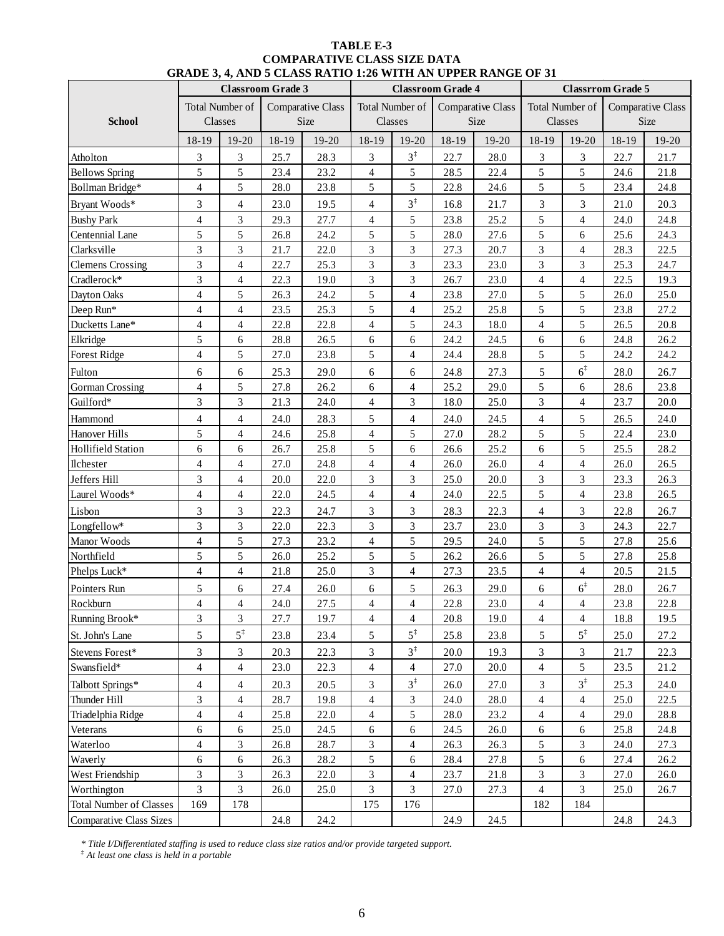| TABLE E-3                                                           |
|---------------------------------------------------------------------|
| <b>COMPARATIVE CLASS SIZE DATA</b>                                  |
| <b>GRADE 3, 4, AND 5 CLASS RATIO 1:26 WITH AN UPPER RANGE OF 31</b> |

|                                |                         |                          |                          | GRADE 3, 4, AND 3 CLASS RATIO 1:20 WITH AN OFFER RANGE OF 31 |                          |                 |                          |                          |                 |                |                          |                   |
|--------------------------------|-------------------------|--------------------------|--------------------------|--------------------------------------------------------------|--------------------------|-----------------|--------------------------|--------------------------|-----------------|----------------|--------------------------|-------------------|
|                                |                         |                          | <b>Classroom Grade 3</b> |                                                              |                          |                 | <b>Classroom Grade 4</b> |                          |                 |                | <b>Classrrom Grade 5</b> |                   |
|                                |                         | Total Number of          |                          | <b>Comparative Class</b>                                     |                          | Total Number of |                          | <b>Comparative Class</b> | Total Number of |                |                          | Comparative Class |
| <b>School</b>                  |                         | Classes                  |                          | Size                                                         |                          | Classes         |                          | Size                     |                 | Classes        |                          | Size              |
|                                | 18-19                   | 19-20                    | 18-19                    | 19-20                                                        | 18-19                    | $19-20$         | 18-19                    | 19-20                    | $18-19$         | $19-20$        | 18-19                    | $19-20$           |
| Atholton                       | 3                       | 3                        | 25.7                     | 28.3                                                         | 3                        | $3^{\ddagger}$  | 22.7                     | 28.0                     | 3               | 3              | 22.7                     | 21.7              |
| <b>Bellows Spring</b>          | 5                       | 5                        | 23.4                     | 23.2                                                         | $\overline{4}$           | 5               | 28.5                     | 22.4                     | 5               | 5              | 24.6                     | 21.8              |
| Bollman Bridge*                | $\overline{4}$          | 5                        | 28.0                     | 23.8                                                         | 5                        | 5               | 22.8                     | 24.6                     | 5               | 5              | 23.4                     | 24.8              |
| Bryant Woods*                  | 3                       | $\overline{4}$           | 23.0                     | 19.5                                                         | $\overline{\mathbf{4}}$  | $3^{\ddagger}$  | 16.8                     | 21.7                     | 3               | 3              | 21.0                     | 20.3              |
| <b>Bushy Park</b>              | $\overline{4}$          | 3                        | 29.3                     | 27.7                                                         | $\overline{\mathcal{L}}$ | 5               | 23.8                     | 25.2                     | 5               | $\overline{4}$ | 24.0                     | 24.8              |
| Centennial Lane                | 5                       | 5                        | 26.8                     | 24.2                                                         | 5                        | 5               | 28.0                     | 27.6                     | 5               | 6              | 25.6                     | 24.3              |
| Clarksville                    | 3                       | 3                        | 21.7                     | 22.0                                                         | $\overline{3}$           | 3               | 27.3                     | 20.7                     | $\overline{3}$  | $\overline{4}$ | 28.3                     | 22.5              |
| <b>Clemens Crossing</b>        | 3                       | $\overline{4}$           | 22.7                     | 25.3                                                         | $\overline{3}$           | 3               | 23.3                     | 23.0                     | 3               | 3              | 25.3                     | 24.7              |
| Cradlerock*                    | $\overline{3}$          | $\overline{4}$           | 22.3                     | 19.0                                                         | 3                        | $\overline{3}$  | 26.7                     | 23.0                     | $\overline{4}$  | $\overline{4}$ | 22.5                     | 19.3              |
| Dayton Oaks                    | $\overline{4}$          | 5                        | 26.3                     | 24.2                                                         | 5                        | $\overline{4}$  | 23.8                     | 27.0                     | 5               | 5              | 26.0                     | 25.0              |
| Deep Run*                      | $\overline{4}$          | $\overline{4}$           | 23.5                     | 25.3                                                         | 5                        | $\overline{4}$  | 25.2                     | 25.8                     | 5               | 5              | 23.8                     | 27.2              |
| Ducketts Lane*                 | $\overline{4}$          | $\overline{4}$           | 22.8                     | 22.8                                                         | $\overline{\mathcal{A}}$ | 5               | 24.3                     | 18.0                     | $\overline{4}$  | 5              | 26.5                     | 20.8              |
| Elkridge                       | 5                       | 6                        | 28.8                     | 26.5                                                         | 6                        | 6               | 24.2                     | 24.5                     | 6               | 6              | 24.8                     | 26.2              |
| <b>Forest Ridge</b>            | $\overline{4}$          | 5                        | 27.0                     | 23.8                                                         | 5                        | $\overline{4}$  | 24.4                     | 28.8                     | 5               | 5              | 24.2                     | 24.2              |
|                                |                         |                          |                          |                                                              |                          |                 |                          |                          |                 | $6^{\ddagger}$ |                          |                   |
| Fulton                         | 6                       | 6                        | 25.3                     | 29.0                                                         | 6                        | 6               | 24.8                     | 27.3                     | 5               |                | 28.0                     | 26.7              |
| <b>Gorman Crossing</b>         | $\overline{4}$          | 5                        | 27.8                     | 26.2                                                         | 6                        | $\overline{4}$  | 25.2                     | 29.0                     | 5               | 6              | 28.6                     | 23.8              |
| Guilford*                      | 3                       | 3                        | 21.3                     | 24.0                                                         | 4                        | 3               | 18.0                     | 25.0                     | 3               | 4              | 23.7                     | 20.0              |
| Hammond                        | $\overline{4}$          | 4                        | 24.0                     | 28.3                                                         | 5                        | 4               | 24.0                     | 24.5                     | $\overline{4}$  | 5              | 26.5                     | 24.0              |
| Hanover Hills                  | 5                       | $\overline{4}$           | 24.6                     | 25.8                                                         | $\overline{4}$           | 5               | 27.0                     | 28.2                     | 5               | 5              | 22.4                     | 23.0              |
| <b>Hollifield Station</b>      | 6                       | 6                        | 26.7                     | 25.8                                                         | 5                        | 6               | 26.6                     | 25.2                     | 6               | 5              | 25.5                     | 28.2              |
| Ilchester                      | $\overline{4}$          | 4                        | 27.0                     | 24.8                                                         | $\overline{4}$           | $\overline{4}$  | 26.0                     | 26.0                     | $\overline{4}$  | $\overline{4}$ | 26.0                     | 26.5              |
| Jeffers Hill                   | 3                       | 4                        | 20.0                     | 22.0                                                         | 3                        | 3               | 25.0                     | 20.0                     | 3               | 3              | 23.3                     | 26.3              |
| Laurel Woods*                  | $\overline{4}$          | $\overline{4}$           | 22.0                     | 24.5                                                         | 4                        | $\overline{4}$  | 24.0                     | 22.5                     | 5               | $\overline{4}$ | 23.8                     | 26.5              |
| Lisbon                         | 3                       | 3                        | 22.3                     | 24.7                                                         | 3                        | 3               | 28.3                     | 22.3                     | 4               | 3              | 22.8                     | 26.7              |
| Longfellow*                    | 3                       | 3                        | 22.0                     | 22.3                                                         | 3                        | 3               | 23.7                     | 23.0                     | 3               | 3              | 24.3                     | 22.7              |
| Manor Woods                    | $\overline{4}$          | 5                        | 27.3                     | 23.2                                                         | $\overline{4}$           | 5               | 29.5                     | 24.0                     | 5               | 5              | 27.8                     | 25.6              |
| Northfield                     | 5                       | 5                        | 26.0                     | 25.2                                                         | 5                        | 5               | 26.2                     | 26.6                     | 5               | 5              | 27.8                     | 25.8              |
| Phelps Luck*                   | $\overline{4}$          | $\overline{4}$           | 21.8                     | 25.0                                                         | 3                        | $\overline{4}$  | 27.3                     | 23.5                     | $\overline{4}$  | 4              | 20.5                     | 21.5              |
| Pointers Run                   | 5                       | $6\,$                    | 27.4                     | 26.0                                                         | 6                        | $\sqrt{5}$      | 26.3                     | 29.0                     | 6               | $6^{\ddagger}$ | 28.0                     | 26.7              |
| Rockburn                       | $\overline{\mathbf{4}}$ | 4                        | 24.0                     | $27.5\,$                                                     | 4                        | 4               | 22.8                     | 23.0                     | 4               | 4              | 23.8                     | $22.8\,$          |
| Running Brook*                 | $\overline{3}$          | $\overline{3}$           | 27.7                     | 19.7                                                         | $\overline{4}$           | $\overline{4}$  | 20.8                     | 19.0                     | $\overline{4}$  | $\overline{4}$ | 18.8                     | 19.5              |
| St. John's Lane                | 5                       | $5^{\ddagger}$           | 23.8                     | 23.4                                                         | 5                        | $5^{\ddagger}$  | 25.8                     | 23.8                     | 5               | $5^{\ddagger}$ | 25.0                     | 27.2              |
| Stevens Forest*                | 3                       | $\mathfrak{Z}$           | 20.3                     | 22.3                                                         | 3                        | $3^{\ddagger}$  | 20.0                     | 19.3                     | 3               | $\mathfrak{Z}$ | 21.7                     | 22.3              |
| Swansfield*                    | $\overline{4}$          | $\overline{4}$           | 23.0                     | 22.3                                                         | $\overline{4}$           | $\overline{4}$  | 27.0                     | 20.0                     | 4               | 5              | 23.5                     | 21.2              |
| Talbott Springs*               | $\overline{4}$          | $\overline{\mathcal{A}}$ | 20.3                     | 20.5                                                         | 3                        | $3^{\ddagger}$  | 26.0                     | 27.0                     | 3               | $3^{\ddagger}$ | 25.3                     | 24.0              |
| Thunder Hill                   | 3                       | 4                        | 28.7                     | 19.8                                                         | 4                        | $\mathfrak{Z}$  | 24.0                     | 28.0                     | $\overline{4}$  | 4              | 25.0                     | 22.5              |
| Triadelphia Ridge              | $\overline{4}$          | $\overline{4}$           | 25.8                     | 22.0                                                         | 4                        | 5               | 28.0                     | 23.2                     | $\overline{4}$  | $\overline{4}$ | 29.0                     | 28.8              |
| Veterans                       | 6                       | 6                        | 25.0                     | 24.5                                                         | 6                        | 6               | 24.5                     | 26.0                     | 6               | 6              | 25.8                     | 24.8              |
| Waterloo                       | $\overline{4}$          | 3                        | 26.8                     | 28.7                                                         | 3                        | $\overline{4}$  | 26.3                     | 26.3                     | 5               | 3              | 24.0                     | 27.3              |
| Waverly                        | 6                       | 6                        | 26.3                     | 28.2                                                         | 5                        | 6               | 28.4                     | 27.8                     | 5               | 6              | 27.4                     | 26.2              |
| West Friendship                | 3                       | 3                        | 26.3                     | 22.0                                                         | 3                        | $\overline{4}$  | 23.7                     | 21.8                     | 3               | 3              | 27.0                     | 26.0              |
| Worthington                    | $\overline{3}$          | 3                        | 26.0                     | 25.0                                                         | 3                        | 3               | 27.0                     | 27.3                     | 4               | 3              | 25.0                     | 26.7              |
| <b>Total Number of Classes</b> | 169                     | 178                      |                          |                                                              | 175                      | 176             |                          |                          | 182             | 184            |                          |                   |
| <b>Comparative Class Sizes</b> |                         |                          | 24.8                     | 24.2                                                         |                          |                 | 24.9                     | 24.5                     |                 |                | 24.8                     | 24.3              |

*\* Title I/Differentiated staffing is used to reduce class size ratios and/or provide targeted support.*

*‡ At least one class is held in a portable*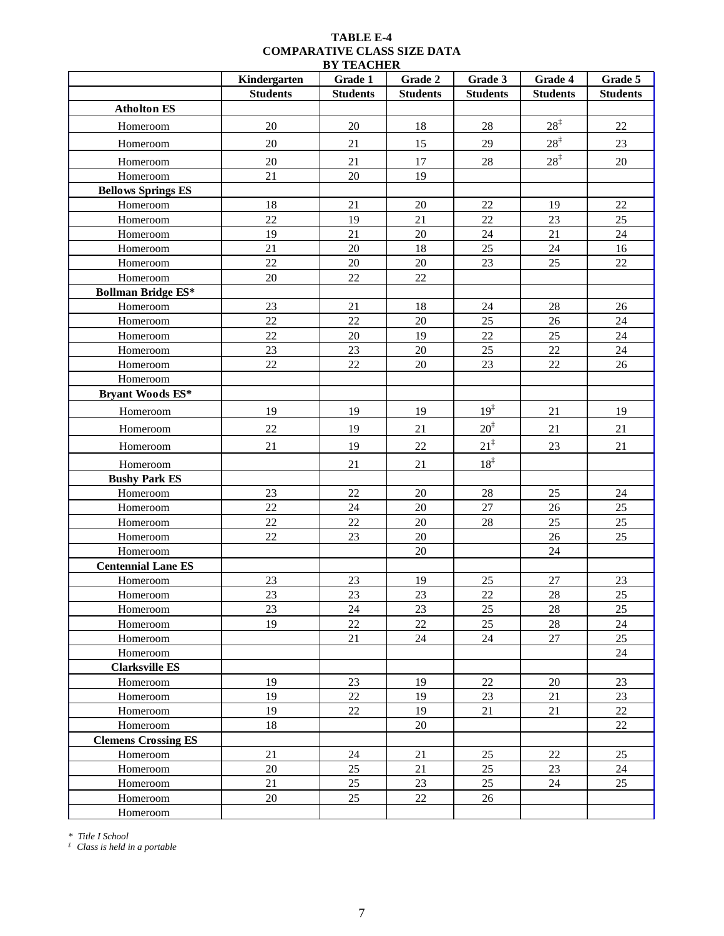## **TABLE E-4 COMPARATIVE CLASS SIZE DATA**

| <b>BY TEACHER</b>          |                 |                 |                 |                 |                 |                 |  |
|----------------------------|-----------------|-----------------|-----------------|-----------------|-----------------|-----------------|--|
|                            | Kindergarten    | Grade 1         | Grade 2         | Grade 3         | Grade 4         | Grade 5         |  |
|                            | <b>Students</b> | <b>Students</b> | <b>Students</b> | <b>Students</b> | <b>Students</b> | <b>Students</b> |  |
| <b>Atholton ES</b>         |                 |                 |                 |                 |                 |                 |  |
| Homeroom                   | 20              | 20              | 18              | 28              | $28^{\ddagger}$ | 22              |  |
| Homeroom                   | 20              | 21              | 15              | 29              | $28^{\ddagger}$ | 23              |  |
| Homeroom                   | 20              | 21              | 17              | 28              | $28^{\ddagger}$ | 20              |  |
| Homeroom                   | 21              | 20              | 19              |                 |                 |                 |  |
| <b>Bellows Springs ES</b>  |                 |                 |                 |                 |                 |                 |  |
| Homeroom                   | 18              | 21              | $20\,$          | 22              | 19              | 22              |  |
| Homeroom                   | 22              | 19              | 21              | 22              | 23              | 25              |  |
| Homeroom                   | 19              | 21              | 20              | 24              | 21              | 24              |  |
| Homeroom                   | 21              | $20\,$          | 18              | 25              | 24              | 16              |  |
| Homeroom                   | 22              | $20\,$          | $20\,$          | 23              | 25              | 22              |  |
| Homeroom                   | 20              | 22              | 22              |                 |                 |                 |  |
| <b>Bollman Bridge ES*</b>  |                 |                 |                 |                 |                 |                 |  |
| Homeroom                   | 23              | 21              | 18              | 24              | 28              | 26              |  |
| Homeroom                   | 22              | 22              | 20              | 25              | 26              | 24              |  |
| Homeroom                   | 22              | 20              | 19              | 22              | 25              | 24              |  |
| Homeroom                   | 23              | 23              | 20              | 25              | 22              | 24              |  |
| Homeroom                   | 22              | 22              | 20              | 23              | 22              | 26              |  |
| Homeroom                   |                 |                 |                 |                 |                 |                 |  |
| <b>Bryant Woods ES*</b>    |                 |                 |                 |                 |                 |                 |  |
| Homeroom                   | 19              | 19              | 19              | $19^{\ddagger}$ | 21              | 19              |  |
| Homeroom                   | 22              | 19              | 21              | $20^{\ddagger}$ | 21              | 21              |  |
| Homeroom                   | 21              | 19              | 22              | $21^{\ddagger}$ | 23              | 21              |  |
| Homeroom                   |                 | 21              | 21              | $18^{\ddagger}$ |                 |                 |  |
| <b>Bushy Park ES</b>       |                 |                 |                 |                 |                 |                 |  |
| Homeroom                   | 23              | 22              | 20              | 28              | 25              | 24              |  |
| Homeroom                   | 22              | 24              | $20\,$          | 27              | 26              | $25\,$          |  |
| Homeroom                   | 22              | 22              | 20              | 28              | 25              | 25              |  |
| Homeroom                   | 22              | 23              | $20\,$          |                 | 26              | 25              |  |
| Homeroom                   |                 |                 | 20              |                 | 24              |                 |  |
| <b>Centennial Lane ES</b>  |                 |                 |                 |                 |                 |                 |  |
| Homeroom                   | 23              | 23              | 19              | 25              | 27              | 23              |  |
| Homeroom                   | 23              | 23              | 23              | 22              | 28              | 25              |  |
| Homeroom                   | 23              | 24              | 23              | 25              | 28              | 25              |  |
| Homeroom                   | 19              | 22              | 22              | 25              | $28\,$          | 24              |  |
| Homeroom                   |                 | 21              | 24              | 24              | $27\,$          | 25              |  |
| Homeroom                   |                 |                 |                 |                 |                 | 24              |  |
| <b>Clarksville ES</b>      |                 |                 |                 |                 |                 |                 |  |
| Homeroom                   | 19              | 23              | 19              | 22              | 20              | 23              |  |
| Homeroom                   | 19              | 22              | 19              | 23              | 21              | 23              |  |
| Homeroom                   | 19              | $22\,$          | 19              | 21              | 21              | $22\,$          |  |
| Homeroom                   | $18\,$          |                 | 20              |                 |                 | 22              |  |
| <b>Clemens Crossing ES</b> |                 |                 |                 |                 |                 |                 |  |
| Homeroom                   | 21              | 24              | 21              | 25              | 22              | 25              |  |
| Homeroom                   | 20              | 25              | 21              | 25              | 23              | 24              |  |
| Homeroom                   | 21              | 25              | 23              | 25              | 24              | 25              |  |
| Homeroom                   | 20              | 25              | 22              | 26              |                 |                 |  |
| Homeroom                   |                 |                 |                 |                 |                 |                 |  |

*\* Title I School*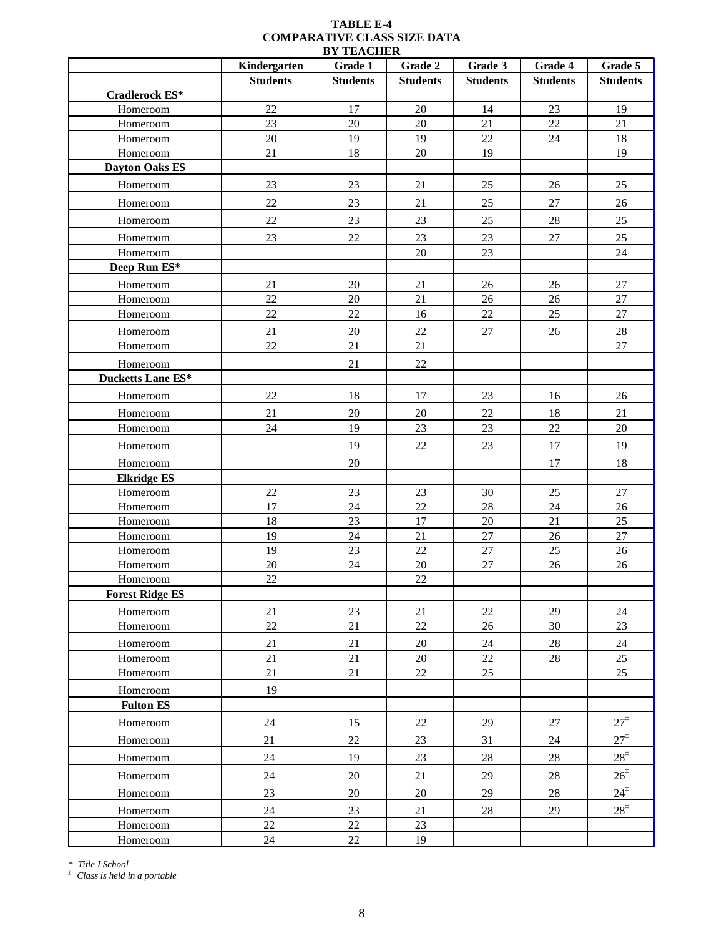|                          | Kindergarten    | Grade 1         | Grade 2         | Grade 3         | Grade 4         | Grade 5         |
|--------------------------|-----------------|-----------------|-----------------|-----------------|-----------------|-----------------|
|                          | <b>Students</b> | <b>Students</b> | <b>Students</b> | <b>Students</b> | <b>Students</b> | <b>Students</b> |
| Cradlerock ES*           |                 |                 |                 |                 |                 |                 |
| Homeroom                 | $22\,$          | 17              | $20\,$          | 14              | $23\,$          | 19              |
| Homeroom                 | 23              | $20\,$          | 20              | 21              | 22              | 21              |
| Homeroom                 | $20\,$          | 19              | 19              | 22              | $24\,$          | 18              |
| Homeroom                 | $21\,$          | 18              | $20\,$          | 19              |                 | 19              |
| <b>Dayton Oaks ES</b>    |                 |                 |                 |                 |                 |                 |
| Homeroom                 | $23\,$          | 23              | 21              | 25              | $26\,$          | 25              |
| Homeroom                 | 22              | 23              | 21              | 25              | $27\,$          | 26              |
| Homeroom                 | $22\,$          | 23              | 23              | 25              | $28\,$          | $25\,$          |
| Homeroom                 | 23              | $22\,$          | 23              | 23              | $27\,$          | 25              |
| Homeroom                 |                 |                 | 20              | 23              |                 | $24\,$          |
| Deep Run ES*             |                 |                 |                 |                 |                 |                 |
| Homeroom                 | 21              | $20\,$          | 21              | $26\,$          | 26              | $27\,$          |
| Homeroom                 | 22              | $20\,$          | 21              | $26\,$          | 26              | $27\,$          |
| Homeroom                 | 22              | $22\,$          | 16              | $22\,$          | $25\,$          | $27\,$          |
| Homeroom                 | 21              | $20\,$          | 22              | $27\,$          | $26\,$          | $28\,$          |
| Homeroom                 | 22              | 21              | 21              |                 |                 | 27              |
| Homeroom                 |                 | 21              | $22\,$          |                 |                 |                 |
| <b>Ducketts Lane ES*</b> |                 |                 |                 |                 |                 |                 |
| Homeroom                 | 22              | 18              | $17\,$          | 23              | 16              | 26              |
| Homeroom                 | 21              | $20\,$          | 20              | $22\,$          | 18              | 21              |
| Homeroom                 | 24              | 19              | 23              | 23              | 22              | $20\,$          |
| Homeroom                 |                 | 19              | 22              | 23              | $17\,$          | 19              |
| Homeroom                 |                 | $20\,$          |                 |                 | 17              | 18              |
| <b>Elkridge ES</b>       |                 |                 |                 |                 |                 |                 |
| Homeroom                 | $22\,$          | $23\,$          | $23\,$          | 30              | $25\,$          | 27              |
| Homeroom                 | $17\,$          | 24              | $22\,$          | 28              | 24              | $26\,$          |
| Homeroom                 | 18              | $23\,$          | 17              | 20              | 21              | $25\,$          |
| Homeroom                 | 19              | $24\,$          | $21\,$          | 27              | $26\,$          | $27\,$          |
| Homeroom                 | 19              | 23              | 22              | $27\,$          | 25              | 26              |
| Homeroom                 | $20\,$          | 24              | $20\,$          | 27              | 26              | $26\,$          |
| Homeroom                 | 22              |                 | 22              |                 |                 |                 |
| <b>Forest Ridge ES</b>   |                 |                 |                 |                 |                 |                 |
| Homeroom                 | 21              | 23              | 21              | 22              | 29              | 24              |
| Homeroom                 | $22\,$          | 21              | $22\,$          | $26\,$          | 30              | 23              |
| Homeroom                 | 21              | 21              | 20              | 24              | 28              | 24              |
| Homeroom                 | 21<br>$21\,$    | 21<br>21        | 20<br>22        | 22<br>25        | 28              | 25              |
| Homeroom                 |                 |                 |                 |                 |                 | 25              |
| Homeroom                 | 19              |                 |                 |                 |                 |                 |
| <b>Fulton ES</b>         |                 |                 |                 |                 |                 |                 |
| Homeroom                 | 24              | 15              | $22\,$          | 29              | $27\,$          | $27^{\ddagger}$ |
| Homeroom                 | 21              | 22              | 23              | 31              | 24              | $27^{\ddagger}$ |
| Homeroom                 | 24              | 19              | 23              | 28              | $28\,$          | $28^{\ddagger}$ |
| Homeroom                 | 24              | 20              | 21              | 29              | 28              | $26^{\ddagger}$ |
| Homeroom                 | 23              | 20              | 20              | 29              | $28\,$          | $24^{\ddagger}$ |
| Homeroom                 | 24              | 23              | 21              | 28              | 29              | $28^{\ddagger}$ |
| Homeroom                 | 22              | $22\,$          | 23              |                 |                 |                 |
| Homeroom                 | 24              | 22              | 19              |                 |                 |                 |

*\* Title I School*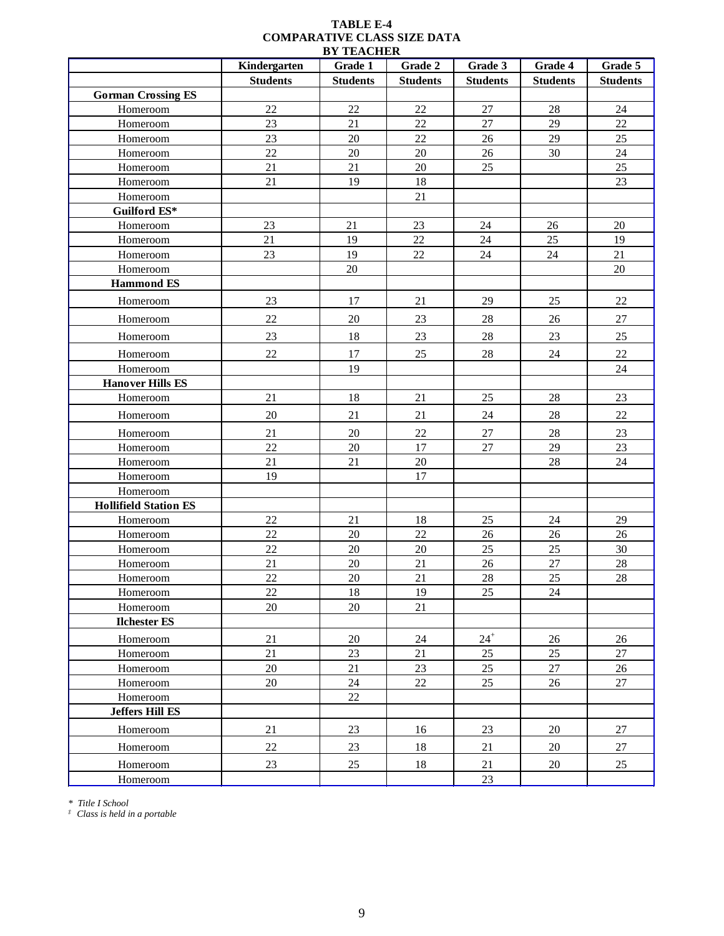|                              | Kindergarten    | Grade 1         | Grade 2         | Grade 3         | Grade 4         | Grade 5         |
|------------------------------|-----------------|-----------------|-----------------|-----------------|-----------------|-----------------|
|                              | <b>Students</b> | <b>Students</b> | <b>Students</b> | <b>Students</b> | <b>Students</b> | <b>Students</b> |
| <b>Gorman Crossing ES</b>    |                 |                 |                 |                 |                 |                 |
| Homeroom                     | 22              | 22              | 22              | $27\,$          | $28\,$          | $24\,$          |
| Homeroom                     | 23              | 21              | 22              | 27              | 29              | 22              |
| Homeroom                     | 23              | $20\,$          | 22              | 26              | 29              | $25\,$          |
| Homeroom                     | 22              | $20\,$          | $20\,$          | 26              | 30              | $24\,$          |
| Homeroom                     | 21              | 21              | 20              | 25              |                 | 25              |
| Homeroom                     | 21              | 19              | 18              |                 |                 | $23\,$          |
| Homeroom                     |                 |                 | 21              |                 |                 |                 |
| Guilford ES*                 |                 |                 |                 |                 |                 |                 |
| Homeroom                     | 23              | 21              | 23              | 24              | $26\,$          | 20              |
| Homeroom                     | 21              | 19              | 22              | 24              | 25              | 19              |
| Homeroom                     | 23              | 19              | 22              | 24              | 24              | 21              |
| Homeroom                     |                 | 20              |                 |                 |                 | $20\,$          |
| <b>Hammond ES</b>            |                 |                 |                 |                 |                 |                 |
| Homeroom                     | 23              | 17              | 21              | 29              | 25              | 22              |
| Homeroom                     | 22              | 20              | 23              | 28              | 26              | 27              |
| Homeroom                     | 23              | 18              | 23              | $28\,$          | 23              | 25              |
| Homeroom                     | 22              | 17              | 25              | $28\,$          | 24              | $22\,$          |
| Homeroom                     |                 | 19              |                 |                 |                 | $24\,$          |
| <b>Hanover Hills ES</b>      |                 |                 |                 |                 |                 |                 |
| Homeroom                     | 21              | 18              | 21              | 25              | 28              | 23              |
| Homeroom                     | 20              | 21              | 21              | $24\,$          | $28\,$          | $22\,$          |
| Homeroom                     | 21              | $20\,$          | $22\,$          | $27\,$          | 28              | 23              |
| Homeroom                     | 22              | $20\,$          | 17              | $27\,$          | 29              | $23\,$          |
| Homeroom                     | 21              | 21              | 20              |                 | $28\,$          | $24\,$          |
| Homeroom                     | 19              |                 | 17              |                 |                 |                 |
| Homeroom                     |                 |                 |                 |                 |                 |                 |
| <b>Hollifield Station ES</b> |                 |                 |                 |                 |                 |                 |
| Homeroom                     | 22              | 21              | 18              | 25              | 24              | 29              |
| Homeroom                     | $22\,$          | $20\,$          | $22\,$          | $26\,$          | 26              | 26              |
| Homeroom                     | $22\,$          | $20\,$          | $20\,$          | $25\,$          | $25\,$          | $30\,$          |
| Homeroom                     | 21              | $20\,$          | 21              | 26              | 27              | 28              |
| Homeroom                     | 22              | 20              | 21              | 28              | 25              | 28              |
| Homeroom                     | $22\,$          | 18              | 19              | 25              | 24              |                 |
| Homeroom                     | 20              | 20              | 21              |                 |                 |                 |
| <b>Ilchester ES</b>          |                 |                 |                 |                 |                 |                 |
| Homeroom                     | 21              | 20              | 24              | $24^{+}$        | 26              | 26              |
| Homeroom                     | 21              | 23              | 21              | 25              | 25              | 27              |
| Homeroom                     | 20              | 21              | 23              | 25              | $27\,$          | 26              |
| Homeroom                     | 20              | 24              | 22              | 25              | 26              | 27              |
| Homeroom                     |                 | 22              |                 |                 |                 |                 |
| <b>Jeffers Hill ES</b>       |                 |                 |                 |                 |                 |                 |
| Homeroom                     | 21              | 23              | 16              | 23              | $20\,$          | 27              |
| Homeroom                     | 22              | 23              | 18              | 21              | 20              | 27              |
| Homeroom                     | 23              | 25              | 18              | 21              | $20\,$          | 25              |
| Homeroom                     |                 |                 |                 | $23\,$          |                 |                 |

*\* Title I School*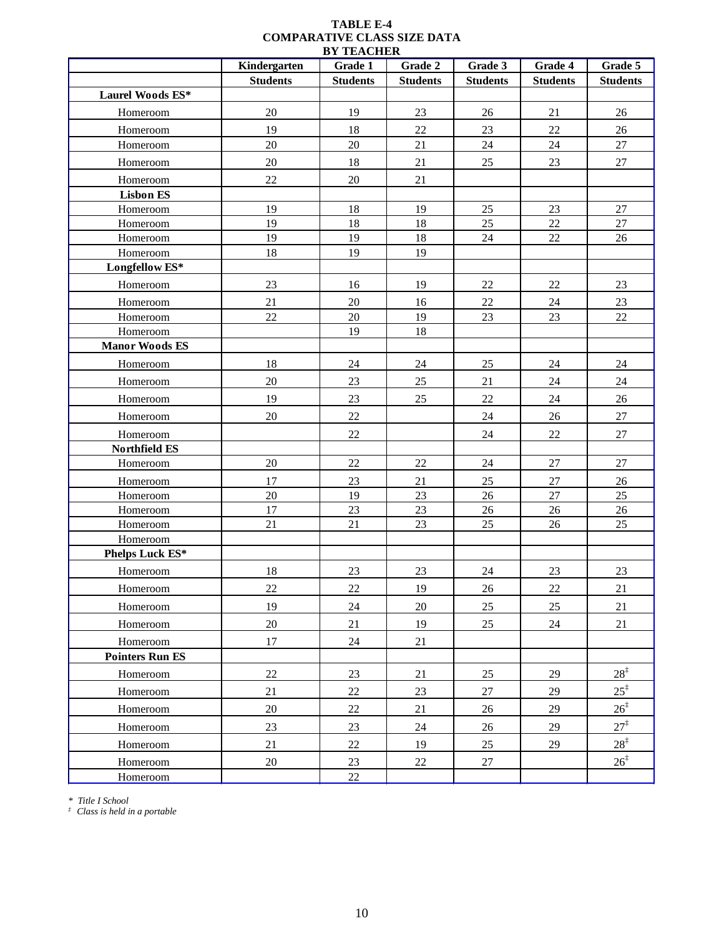|                        | Kindergarten    | Grade 1         | Grade 2         | Grade 3         | Grade 4         | Grade 5         |
|------------------------|-----------------|-----------------|-----------------|-----------------|-----------------|-----------------|
|                        | <b>Students</b> | <b>Students</b> | <b>Students</b> | <b>Students</b> | <b>Students</b> | <b>Students</b> |
| Laurel Woods ES*       |                 |                 |                 |                 |                 |                 |
| Homeroom               | $20\,$          | 19              | 23              | $26\,$          | 21              | 26              |
| Homeroom               | 19              | 18              | 22              | 23              | 22              | 26              |
| Homeroom               | 20              | 20              | 21              | 24              | 24              | 27              |
| Homeroom               | 20              | 18              | $21\,$          | 25              | $23\,$          | $27\,$          |
| Homeroom               | 22              | 20              | 21              |                 |                 |                 |
| <b>Lisbon ES</b>       |                 |                 |                 |                 |                 |                 |
| Homeroom               | 19              | 18              | 19              | 25              | 23              | 27              |
| Homeroom               | 19              | 18              | 18              | 25              | $22\,$          | $27\,$          |
| Homeroom               | 19              | 19              | 18              | 24              | $22\,$          | 26              |
| Homeroom               | 18              | 19              | 19              |                 |                 |                 |
| Longfellow ES*         |                 |                 |                 |                 |                 |                 |
| Homeroom               | 23              | 16              | 19              | 22              | 22              | 23              |
| Homeroom               | 21              | 20              | 16              | 22              | 24              | 23              |
| Homeroom               | 22              | 20              | 19              | 23              | 23              | 22              |
| Homeroom               |                 | 19              | 18              |                 |                 |                 |
| <b>Manor Woods ES</b>  |                 |                 |                 |                 |                 |                 |
| Homeroom               | 18              | $24\,$          | $24\,$          | 25              | 24              | $24\,$          |
| Homeroom               | 20              | 23              | 25              | $21\,$          | $24\,$          | 24              |
| Homeroom               | 19              | 23              | 25              | $22\,$          | 24              | 26              |
| Homeroom               | 20              | 22              |                 | 24              | 26              | $27\,$          |
| Homeroom               |                 | $22\,$          |                 | 24              | 22              | $27\,$          |
| Northfield ES          |                 |                 |                 |                 |                 |                 |
| Homeroom               | 20              | $22\,$          | 22              | 24              | $27\,$          | $27\,$          |
| Homeroom               | 17              | 23              | 21              | 25              | 27              | $26\,$          |
| Homeroom               | 20              | 19              | 23              | 26              | $27\,$          | $25\,$          |
| Homeroom               | 17              | 23              | 23              | 26              | 26              | $26\,$          |
| Homeroom               | 21              | 21              | 23              | 25              | 26              | 25              |
| Homeroom               |                 |                 |                 |                 |                 |                 |
| Phelps Luck ES*        |                 |                 |                 |                 |                 |                 |
| Homeroom               | 18              | 23              | 23              | $24\,$          | 23              | 23              |
| Homeroom               | 22              | 22              | 19              | 26              | 22              | 21              |
| Homeroom               | 19              | 24              | 20              | 25              | 25              | 21              |
| Homeroom               | $20\,$          | 21              | 19              | 25              | 24              | 21              |
| Homeroom               | 17              | 24              | 21              |                 |                 |                 |
| <b>Pointers Run ES</b> |                 |                 |                 |                 |                 |                 |
| Homeroom               | $22\,$          | 23              | 21              | 25              | 29              | $28^{\ddagger}$ |
| Homeroom               | 21              | $22\,$          | 23              | 27              | 29              | $25^{\ddagger}$ |
| Homeroom               | $20\,$          | $22\,$          | 21              | 26              | 29              | $26^{\ddagger}$ |
| Homeroom               | 23              | 23              | 24              | 26              | 29              | $27^{\ddagger}$ |
| Homeroom               | 21              | $22\,$          | 19              | 25              | 29              | $28^{\ddagger}$ |
| Homeroom               | 20              | 23              | 22              | $27\,$          |                 | $26^{\ddagger}$ |
| Homeroom               |                 | 22              |                 |                 |                 |                 |

*\* Title I School*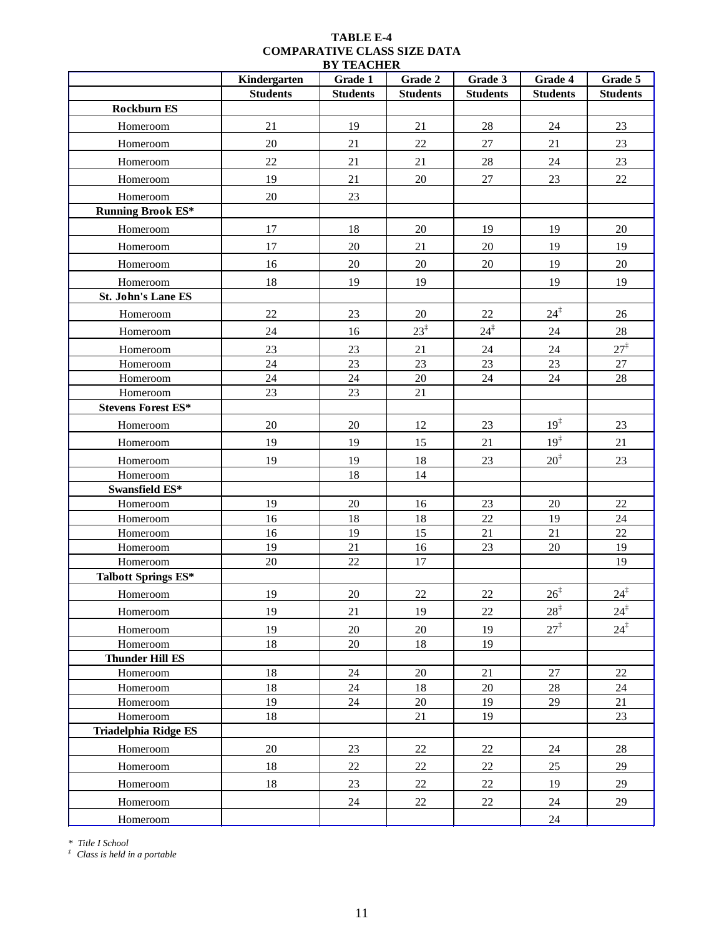|                             | Kindergarten    | <i>di ilmi</i> cilen<br>Grade 1 | Grade 2         | Grade 3         | Grade 4         | Grade 5         |
|-----------------------------|-----------------|---------------------------------|-----------------|-----------------|-----------------|-----------------|
|                             | <b>Students</b> | <b>Students</b>                 | <b>Students</b> | <b>Students</b> | <b>Students</b> | <b>Students</b> |
| <b>Rockburn ES</b>          |                 |                                 |                 |                 |                 |                 |
| Homeroom                    | 21              | 19                              | 21              | $28\,$          | 24              | 23              |
| Homeroom                    | 20              | 21                              | 22              | 27              | 21              | 23              |
| Homeroom                    | 22              | 21                              | 21              | $28\,$          | 24              | 23              |
| Homeroom                    | 19              | 21                              | 20              | 27              | 23              | 22              |
| Homeroom                    | 20              | 23                              |                 |                 |                 |                 |
| <b>Running Brook ES*</b>    |                 |                                 |                 |                 |                 |                 |
| Homeroom                    | 17              | 18                              | 20              | 19              | 19              | $20\,$          |
| Homeroom                    | 17              | $20\,$                          | 21              | $20\,$          | 19              | 19              |
| Homeroom                    | 16              | $20\,$                          | $20\,$          | 20              | 19              | $20\,$          |
| Homeroom                    | 18              | 19                              | 19              |                 | 19              | 19              |
| <b>St. John's Lane ES</b>   |                 |                                 |                 |                 |                 |                 |
| Homeroom                    | $22\,$          | 23                              | $20\,$          | $22\,$          | $24^{\ddagger}$ | 26              |
| Homeroom                    | 24              | 16                              | $23^{\ddagger}$ | $24^{\ddagger}$ | 24              | 28              |
| Homeroom                    | 23              | 23                              | 21              | 24              | 24              | $27^{\ddagger}$ |
| Homeroom                    | 24              | 23                              | 23              | 23              | 23              | 27              |
| Homeroom                    | 24              | 24                              | $20\,$          | $24\,$          | 24              | 28              |
| Homeroom                    | 23              | 23                              | $21\,$          |                 |                 |                 |
| <b>Stevens Forest ES*</b>   |                 |                                 |                 |                 |                 |                 |
| Homeroom                    | 20              | 20                              | 12              | 23              | 19 <sup>‡</sup> | 23              |
| Homeroom                    | 19              | 19                              | 15              | 21              | 19 <sup>‡</sup> | 21              |
| Homeroom                    | 19              | 19                              | 18              | 23              | $20^{\ddagger}$ | 23              |
| Homeroom                    |                 | $18\,$                          | 14              |                 |                 |                 |
| Swansfield ES*              |                 |                                 |                 |                 |                 |                 |
| Homeroom                    | 19              | $20\,$                          | 16              | 23              | $20\,$          | $22\,$          |
| Homeroom                    | 16              | 18                              | 18              | 22              | 19              | $24\,$          |
| Homeroom                    | 16              | 19                              | 15              | 21              | $21\,$          | $22\,$          |
| Homeroom                    | 19              | 21                              | 16              | 23              | 20              | 19              |
| Homeroom                    | 20              | 22                              | 17              |                 |                 | 19              |
| <b>Talbott Springs ES*</b>  |                 |                                 |                 |                 |                 |                 |
| Homeroom                    | 19              | 20                              | 22              | 22              | $26^{\ddagger}$ | $24^{\ddagger}$ |
| Homeroom                    | 19              | 21                              | 19              | 22              | $28^{\ddagger}$ | $24^{\ddagger}$ |
| Homeroom                    | 19              | 20                              | 20              | 19              | $27^{\ddagger}$ | $24^{\ddagger}$ |
| Homeroom                    | 18              | 20                              | 18              | 19              |                 |                 |
| <b>Thunder Hill ES</b>      |                 |                                 |                 |                 |                 |                 |
| Homeroom                    | 18              | 24                              | 20              | 21              | 27              | 22              |
| Homeroom                    | 18              | 24                              | 18              | $20\,$          | 28              | 24              |
| Homeroom                    | 19              | 24                              | $20\,$          | 19              | 29              | 21              |
| Homeroom                    | 18              |                                 | 21              | 19              |                 | 23              |
| <b>Triadelphia Ridge ES</b> |                 |                                 |                 |                 |                 |                 |
| Homeroom                    | $20\,$          | 23                              | $22\,$          | $22\,$          | 24              | $28\,$          |
| Homeroom                    | 18              | $22\,$                          | 22              | 22              | 25              | 29              |
| Homeroom                    | 18              | $23\,$                          | 22              | $22\,$          | 19              | 29              |
| Homeroom                    |                 | 24                              | 22              | 22              | 24              | 29              |
| Homeroom                    |                 |                                 |                 |                 | 24              |                 |

*\* Title I School*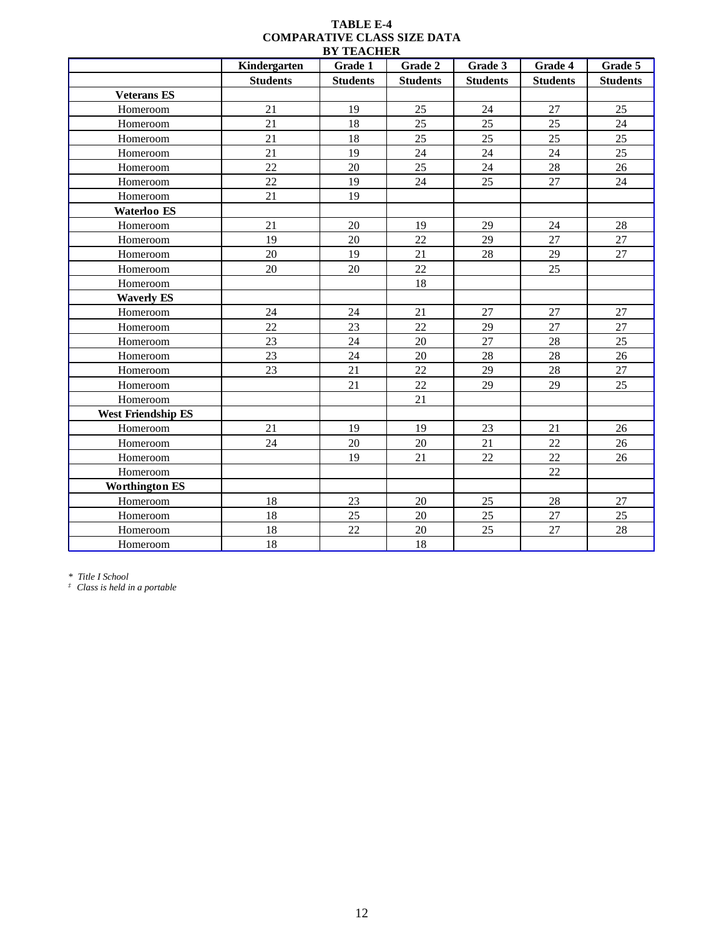|                           | Kindergarten    | Grade 1         | Grade 2         | Grade 3         | Grade 4         | Grade 5         |
|---------------------------|-----------------|-----------------|-----------------|-----------------|-----------------|-----------------|
|                           | <b>Students</b> | <b>Students</b> | <b>Students</b> | <b>Students</b> | <b>Students</b> | <b>Students</b> |
| <b>Veterans ES</b>        |                 |                 |                 |                 |                 |                 |
| Homeroom                  | 21              | 19              | 25              | 24              | 27              | 25              |
| Homeroom                  | 21              | 18              | 25              | 25              | 25              | 24              |
| Homeroom                  | 21              | 18              | 25              | 25              | 25              | 25              |
| Homeroom                  | 21              | 19              | 24              | 24              | 24              | 25              |
| Homeroom                  | 22              | 20              | 25              | 24              | 28              | 26              |
| Homeroom                  | 22              | 19              | 24              | 25              | 27              | $24\,$          |
| Homeroom                  | 21              | 19              |                 |                 |                 |                 |
| Waterloo ES               |                 |                 |                 |                 |                 |                 |
| Homeroom                  | 21              | 20              | 19              | 29              | 24              | 28              |
| Homeroom                  | 19              | 20              | 22              | 29              | 27              | 27              |
| Homeroom                  | 20              | 19              | 21              | 28              | 29              | 27              |
| Homeroom                  | 20              | 20              | 22              |                 | 25              |                 |
| Homeroom                  |                 |                 | $18\,$          |                 |                 |                 |
| <b>Waverly ES</b>         |                 |                 |                 |                 |                 |                 |
| Homeroom                  | 24              | 24              | $21\,$          | 27              | 27              | $27\,$          |
| Homeroom                  | 22              | 23              | 22              | 29              | 27              | 27              |
| Homeroom                  | 23              | 24              | 20              | 27              | 28              | 25              |
| Homeroom                  | 23              | 24              | 20              | 28              | 28              | 26              |
| Homeroom                  | 23              | 21              | 22              | 29              | $28\,$          | 27              |
| Homeroom                  |                 | 21              | 22              | 29              | 29              | 25              |
| Homeroom                  |                 |                 | 21              |                 |                 |                 |
| <b>West Friendship ES</b> |                 |                 |                 |                 |                 |                 |
| Homeroom                  | 21              | 19              | 19              | 23              | 21              | $26\,$          |
| Homeroom                  | 24              | $20\,$          | $20\,$          | 21              | 22              | 26              |
| Homeroom                  |                 | 19              | 21              | 22              | 22              | 26              |
| Homeroom                  |                 |                 |                 |                 | 22              |                 |
| <b>Worthington ES</b>     |                 |                 |                 |                 |                 |                 |
| Homeroom                  | 18              | 23              | 20              | 25              | 28              | 27              |
| Homeroom                  | 18              | 25              | 20              | 25              | 27              | 25              |
| Homeroom                  | 18              | $22\,$          | $20\,$          | 25              | $27\,$          | $28\,$          |
| Homeroom                  | $18\,$          |                 | 18              |                 |                 |                 |

*\* Title I School*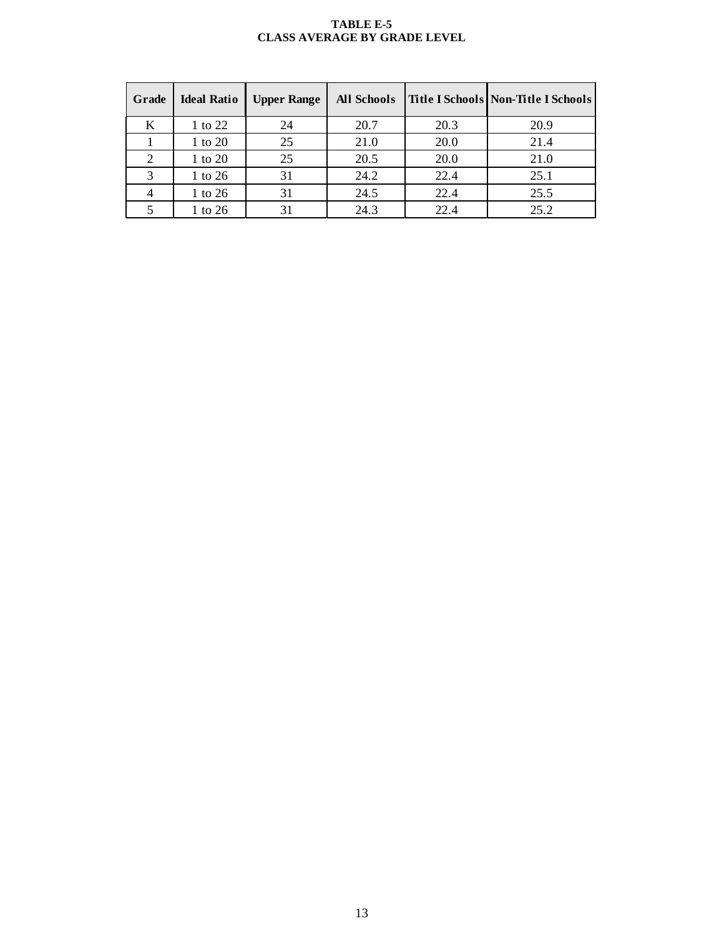#### **TABLE E-5 CLASS AVERAGE BY GRADE LEVEL**

| Grade | <b>Ideal Ratio</b> | <b>Upper Range</b> | <b>All Schools</b> |      | <b>Title I Schools Non-Title I Schools</b> |
|-------|--------------------|--------------------|--------------------|------|--------------------------------------------|
| K     | 1 to 22            | 24                 | 20.7               | 20.3 | 20.9                                       |
|       | 1 to 20            | 25                 | 21.0               | 20.0 | 21.4                                       |
| 2     | 1 to 20            | 25                 | 20.5               | 20.0 | 21.0                                       |
|       | 1 to 26            | 31                 | 24.2               | 22.4 | 25.1                                       |
|       | 1 to 26            | 31                 | 24.5               | 22.4 | 25.5                                       |
|       | 1 to 26            | 31                 | 24.3               | 22.4 | 25.2                                       |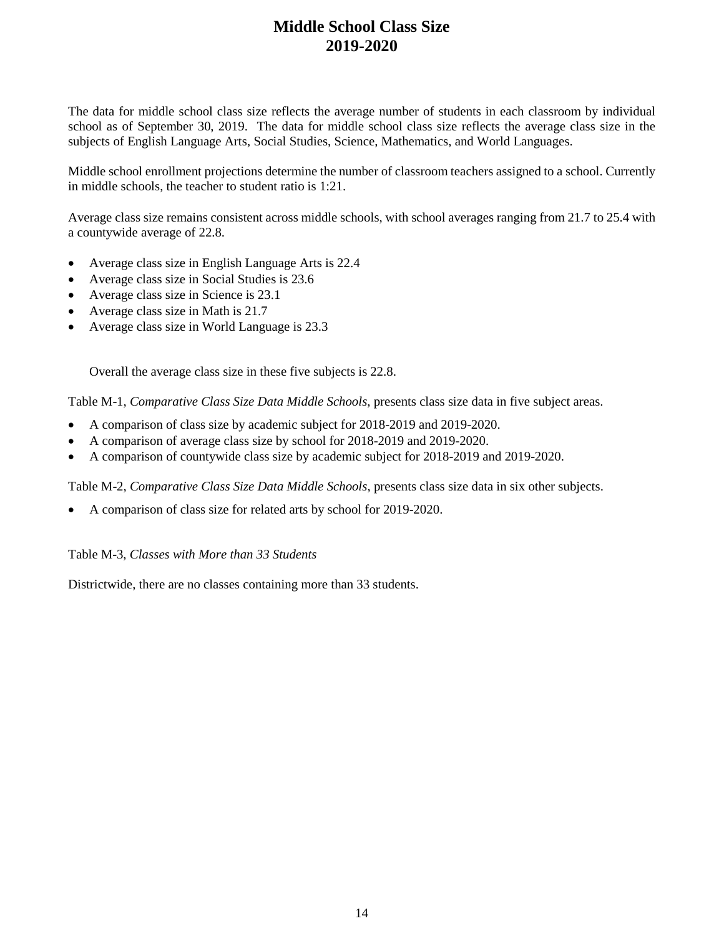# **Middle School Class Size 2019-2020**

The data for middle school class size reflects the average number of students in each classroom by individual school as of September 30, 2019. The data for middle school class size reflects the average class size in the subjects of English Language Arts, Social Studies, Science, Mathematics, and World Languages.

Middle school enrollment projections determine the number of classroom teachers assigned to a school. Currently in middle schools, the teacher to student ratio is 1:21.

Average class size remains consistent across middle schools, with school averages ranging from 21.7 to 25.4 with a countywide average of 22.8.

- Average class size in English Language Arts is 22.4
- Average class size in Social Studies is 23.6
- Average class size in Science is 23.1
- Average class size in Math is 21.7
- Average class size in World Language is 23.3

Overall the average class size in these five subjects is 22.8.

Table M-1, *Comparative Class Size Data Middle Schools*, presents class size data in five subject areas.

- A comparison of class size by academic subject for 2018-2019 and 2019-2020.
- A comparison of average class size by school for 2018-2019 and 2019-2020.
- A comparison of countywide class size by academic subject for 2018-2019 and 2019-2020.

Table M-2, *Comparative Class Size Data Middle Schools*, presents class size data in six other subjects.

• A comparison of class size for related arts by school for 2019-2020.

Table M-3, *Classes with More than 33 Students*

Districtwide, there are no classes containing more than 33 students.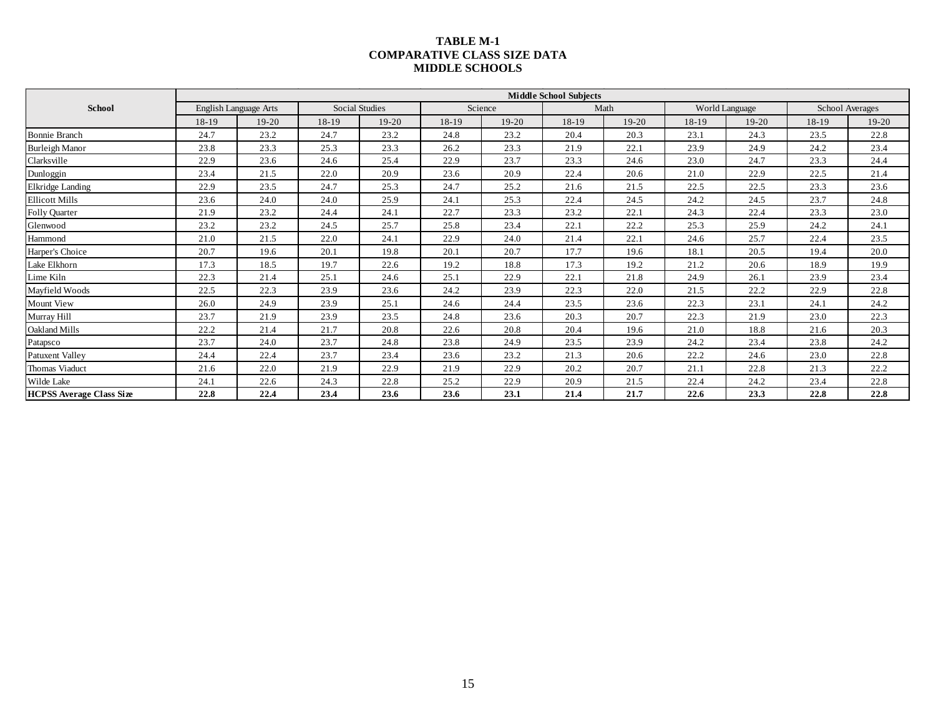#### **TABLE M-1 COMPARATIVE CLASS SIZE DATA MIDDLE SCHOOLS**

|                                 |       |                              |       |                |       |         | <b>Middle School Subjects</b> |         |       |                |       |                 |
|---------------------------------|-------|------------------------------|-------|----------------|-------|---------|-------------------------------|---------|-------|----------------|-------|-----------------|
| <b>School</b>                   |       | <b>English Language Arts</b> |       | Social Studies |       | Science |                               | Math    |       | World Language |       | School Averages |
|                                 | 18-19 | $19-20$                      | 18-19 | $19-20$        | 18-19 | $19-20$ | 18-19                         | $19-20$ | 18-19 | $19-20$        | 18-19 | 19-20           |
| <b>Bonnie Branch</b>            | 24.7  | 23.2                         | 24.7  | 23.2           | 24.8  | 23.2    | 20.4                          | 20.3    | 23.1  | 24.3           | 23.5  | 22.8            |
| <b>Burleigh Manor</b>           | 23.8  | 23.3                         | 25.3  | 23.3           | 26.2  | 23.3    | 21.9                          | 22.1    | 23.9  | 24.9           | 24.2  | 23.4            |
| Clarksville                     | 22.9  | 23.6                         | 24.6  | 25.4           | 22.9  | 23.7    | 23.3                          | 24.6    | 23.0  | 24.7           | 23.3  | 24.4            |
| Dunloggin                       | 23.4  | 21.5                         | 22.0  | 20.9           | 23.6  | 20.9    | 22.4                          | 20.6    | 21.0  | 22.9           | 22.5  | 21.4            |
| Elkridge Landing                | 22.9  | 23.5                         | 24.7  | 25.3           | 24.7  | 25.2    | 21.6                          | 21.5    | 22.5  | 22.5           | 23.3  | 23.6            |
| <b>Ellicott Mills</b>           | 23.6  | 24.0                         | 24.0  | 25.9           | 24.1  | 25.3    | 22.4                          | 24.5    | 24.2  | 24.5           | 23.7  | 24.8            |
| Folly Quarter                   | 21.9  | 23.2                         | 24.4  | 24.1           | 22.7  | 23.3    | 23.2                          | 22.1    | 24.3  | 22.4           | 23.3  | 23.0            |
| Glenwood                        | 23.2  | 23.2                         | 24.5  | 25.7           | 25.8  | 23.4    | 22.1                          | 22.2    | 25.3  | 25.9           | 24.2  | 24.1            |
| Hammond                         | 21.0  | 21.5                         | 22.0  | 24.1           | 22.9  | 24.0    | 21.4                          | 22.1    | 24.6  | 25.7           | 22.4  | 23.5            |
| Harper's Choice                 | 20.7  | 19.6                         | 20.1  | 19.8           | 20.1  | 20.7    | 17.7                          | 19.6    | 18.1  | 20.5           | 19.4  | 20.0            |
| Lake Elkhorn                    | 17.3  | 18.5                         | 19.7  | 22.6           | 19.2  | 18.8    | 17.3                          | 19.2    | 21.2  | 20.6           | 18.9  | 19.9            |
| Lime Kiln                       | 22.3  | 21.4                         | 25.1  | 24.6           | 25.1  | 22.9    | 22.1                          | 21.8    | 24.9  | 26.1           | 23.9  | 23.4            |
| Mayfield Woods                  | 22.5  | 22.3                         | 23.9  | 23.6           | 24.2  | 23.9    | 22.3                          | 22.0    | 21.5  | 22.2           | 22.9  | 22.8            |
| Mount View                      | 26.0  | 24.9                         | 23.9  | 25.1           | 24.6  | 24.4    | 23.5                          | 23.6    | 22.3  | 23.1           | 24.1  | 24.2            |
| Murray Hill                     | 23.7  | 21.9                         | 23.9  | 23.5           | 24.8  | 23.6    | 20.3                          | 20.7    | 22.3  | 21.9           | 23.0  | 22.3            |
| Oakland Mills                   | 22.2  | 21.4                         | 21.7  | 20.8           | 22.6  | 20.8    | 20.4                          | 19.6    | 21.0  | 18.8           | 21.6  | 20.3            |
| Patapsco                        | 23.7  | 24.0                         | 23.7  | 24.8           | 23.8  | 24.9    | 23.5                          | 23.9    | 24.2  | 23.4           | 23.8  | 24.2            |
| <b>Patuxent Valley</b>          | 24.4  | 22.4                         | 23.7  | 23.4           | 23.6  | 23.2    | 21.3                          | 20.6    | 22.2  | 24.6           | 23.0  | 22.8            |
| Thomas Viaduct                  | 21.6  | 22.0                         | 21.9  | 22.9           | 21.9  | 22.9    | 20.2                          | 20.7    | 21.1  | 22.8           | 21.3  | 22.2            |
| Wilde Lake                      | 24.1  | 22.6                         | 24.3  | 22.8           | 25.2  | 22.9    | 20.9                          | 21.5    | 22.4  | 24.2           | 23.4  | 22.8            |
| <b>HCPSS Average Class Size</b> | 22.8  | 22.4                         | 23.4  | 23.6           | 23.6  | 23.1    | 21.4                          | 21.7    | 22.6  | 23.3           | 22.8  | 22.8            |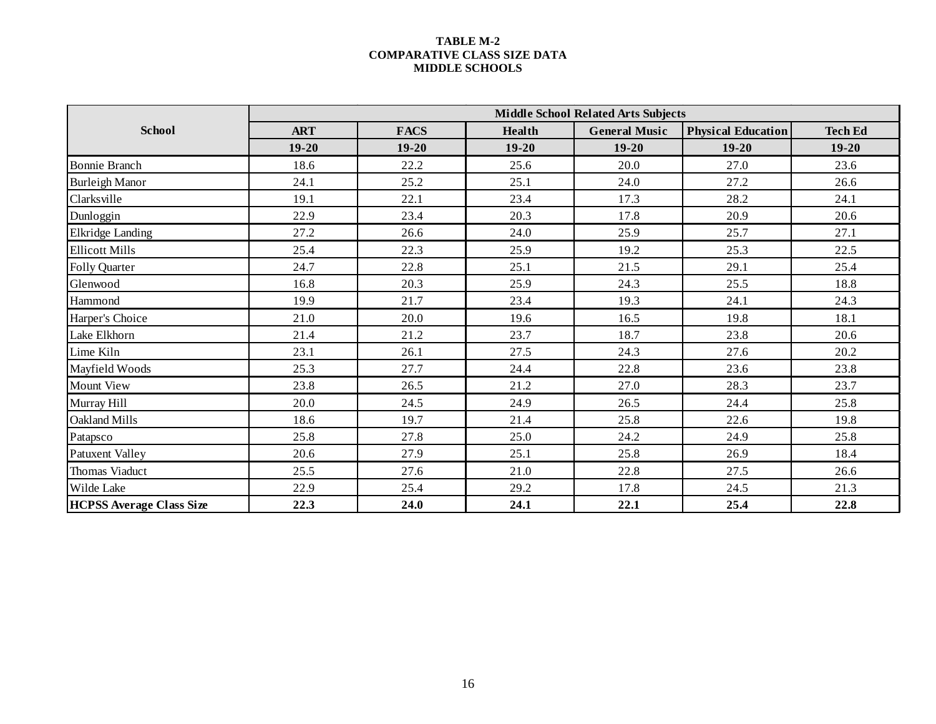#### **TABLE M-2 COMPARATIVE CLASS SIZE DATA MIDDLE SCHOOLS**

|                                 |            |             |               | <b>Middle School Related Arts Subjects</b> |                           |                |
|---------------------------------|------------|-------------|---------------|--------------------------------------------|---------------------------|----------------|
| <b>School</b>                   | <b>ART</b> | <b>FACS</b> | <b>Health</b> | <b>General Music</b>                       | <b>Physical Education</b> | <b>Tech Ed</b> |
|                                 | $19 - 20$  | $19 - 20$   | $19 - 20$     | $19 - 20$                                  | $19 - 20$                 | $19 - 20$      |
| <b>Bonnie Branch</b>            | 18.6       | 22.2        | 25.6          | 20.0                                       | 27.0                      | 23.6           |
| <b>Burleigh Manor</b>           | 24.1       | 25.2        | 25.1          | 24.0                                       | 27.2                      | 26.6           |
| Clarksville                     | 19.1       | 22.1        | 23.4          | 17.3                                       | 28.2                      | 24.1           |
| Dunloggin                       | 22.9       | 23.4        | 20.3          | 17.8                                       | 20.9                      | 20.6           |
| <b>Elkridge Landing</b>         | 27.2       | 26.6        | 24.0          | 25.9                                       | 25.7                      | 27.1           |
| <b>Ellicott Mills</b>           | 25.4       | 22.3        | 25.9          | 19.2                                       | 25.3                      | 22.5           |
| Folly Quarter                   | 24.7       | 22.8        | 25.1          | 21.5                                       | 29.1                      | 25.4           |
| Glenwood                        | 16.8       | 20.3        | 25.9          | 24.3                                       | 25.5                      | 18.8           |
| Hammond                         | 19.9       | 21.7        | 23.4          | 19.3                                       | 24.1                      | 24.3           |
| Harper's Choice                 | 21.0       | 20.0        | 19.6          | 16.5                                       | 19.8                      | 18.1           |
| Lake Elkhorn                    | 21.4       | 21.2        | 23.7          | 18.7                                       | 23.8                      | 20.6           |
| Lime Kiln                       | 23.1       | 26.1        | 27.5          | 24.3                                       | 27.6                      | 20.2           |
| Mayfield Woods                  | 25.3       | 27.7        | 24.4          | 22.8                                       | 23.6                      | 23.8           |
| <b>Mount View</b>               | 23.8       | 26.5        | 21.2          | 27.0                                       | 28.3                      | 23.7           |
| Murray Hill                     | 20.0       | 24.5        | 24.9          | 26.5                                       | 24.4                      | 25.8           |
| Oakland Mills                   | 18.6       | 19.7        | 21.4          | 25.8                                       | 22.6                      | 19.8           |
| Patapsco                        | 25.8       | 27.8        | 25.0          | 24.2                                       | 24.9                      | 25.8           |
| <b>Patuxent Valley</b>          | 20.6       | 27.9        | 25.1          | 25.8                                       | 26.9                      | 18.4           |
| Thomas Viaduct                  | 25.5       | 27.6        | 21.0          | 22.8                                       | 27.5                      | 26.6           |
| Wilde Lake                      | 22.9       | 25.4        | 29.2          | 17.8                                       | 24.5                      | 21.3           |
| <b>HCPSS Average Class Size</b> | 22.3       | 24.0        | 24.1          | 22.1                                       | 25.4                      | 22.8           |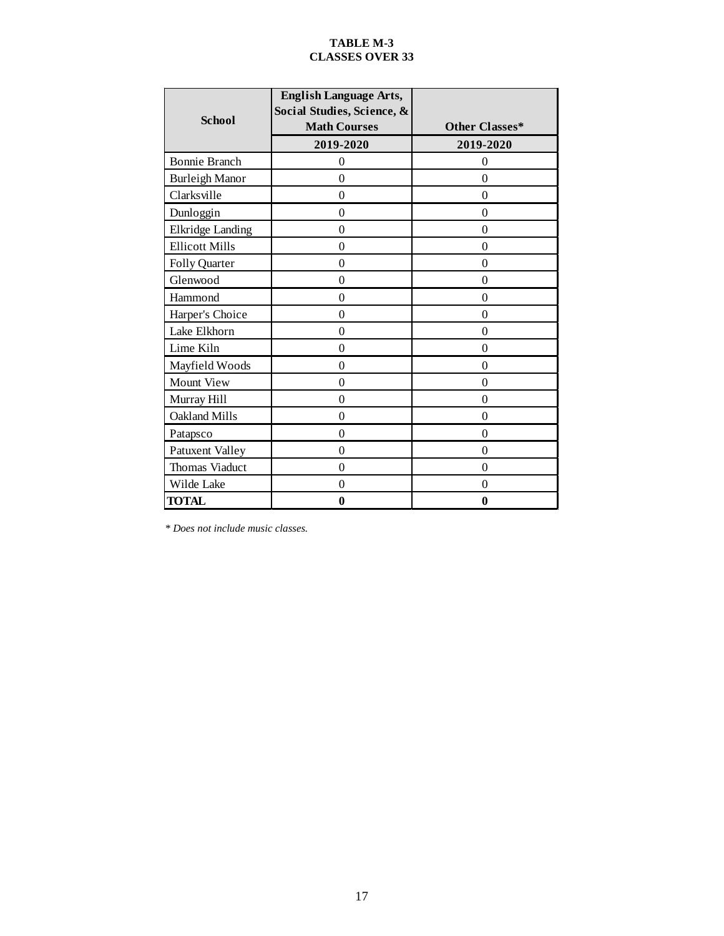#### **TABLE M-3 CLASSES OVER 33**

| <b>School</b>           | <b>English Language Arts,</b><br>Social Studies, Science, &<br><b>Math Courses</b> | Other Classes*   |
|-------------------------|------------------------------------------------------------------------------------|------------------|
|                         | 2019-2020                                                                          | 2019-2020        |
| <b>Bonnie Branch</b>    | $\overline{0}$                                                                     | $\theta$         |
| <b>Burleigh Manor</b>   | $\Omega$                                                                           | $\theta$         |
| Clarksville             | $\theta$                                                                           | $\theta$         |
| Dunloggin               | $\theta$                                                                           | $\theta$         |
| <b>Elkridge Landing</b> | $\theta$                                                                           | $\theta$         |
| <b>Ellicott Mills</b>   | $\theta$                                                                           | $\theta$         |
| Folly Quarter           | $\theta$                                                                           | $\overline{0}$   |
| Glenwood                | $\theta$                                                                           | $\theta$         |
| Hammond                 | $\theta$                                                                           | $\theta$         |
| Harper's Choice         | $\theta$                                                                           | $\theta$         |
| Lake Elkhorn            | $\theta$                                                                           | $\theta$         |
| Lime Kiln               | $\Omega$                                                                           | $\overline{0}$   |
| Mayfield Woods          | $\theta$                                                                           | $\theta$         |
| Mount View              | $\Omega$                                                                           | $\boldsymbol{0}$ |
| Murray Hill             | $\mathbf{0}$                                                                       | $\theta$         |
| <b>Oakland Mills</b>    | $\Omega$                                                                           | $\theta$         |
| Patapsco                | $\mathbf{0}$                                                                       | $\theta$         |
| Patuxent Valley         | $\boldsymbol{0}$                                                                   | $\mathbf{0}$     |
| Thomas Viaduct          | $\Omega$                                                                           | $\theta$         |
| Wilde Lake              | $\boldsymbol{0}$                                                                   | $\boldsymbol{0}$ |
| <b>TOTAL</b>            | $\bf{0}$                                                                           | $\bf{0}$         |

 *\* Does not include music classes.*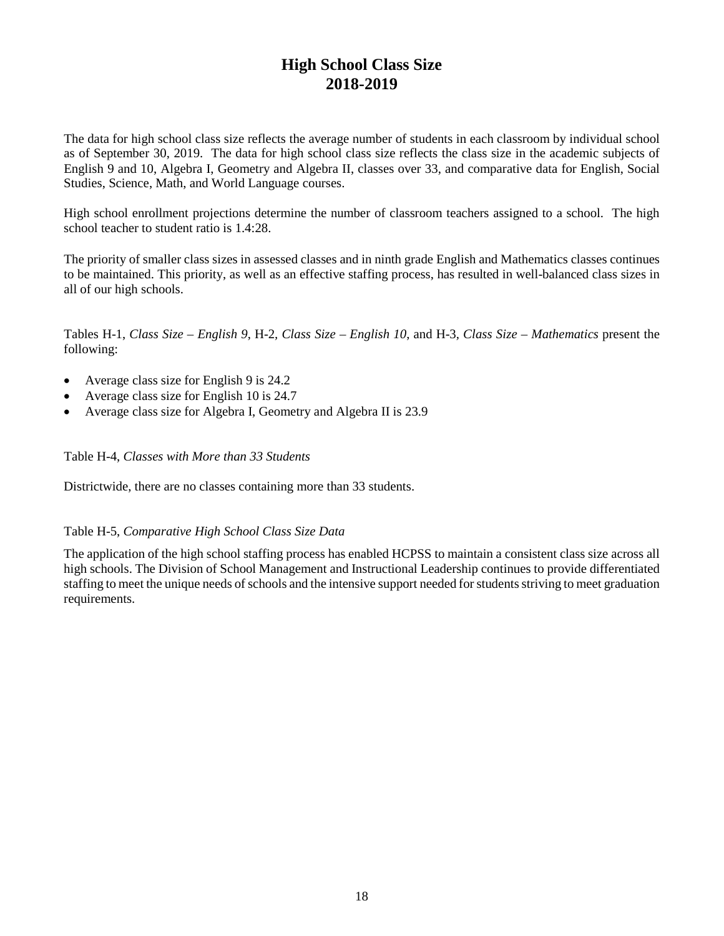# **High School Class Size 2018-2019**

The data for high school class size reflects the average number of students in each classroom by individual school as of September 30, 2019. The data for high school class size reflects the class size in the academic subjects of English 9 and 10, Algebra I, Geometry and Algebra II, classes over 33, and comparative data for English, Social Studies, Science, Math, and World Language courses.

High school enrollment projections determine the number of classroom teachers assigned to a school. The high school teacher to student ratio is 1.4:28.

The priority of smaller class sizes in assessed classes and in ninth grade English and Mathematics classes continues to be maintained. This priority, as well as an effective staffing process, has resulted in well-balanced class sizes in all of our high schools.

Tables H-1, *Class Size – English 9*, H-2*, Class Size – English 10*, and H-3*, Class Size – Mathematics* present the following:

- Average class size for English 9 is 24.2
- Average class size for English 10 is 24.7
- Average class size for Algebra I, Geometry and Algebra II is 23.9

Table H-4, *Classes with More than 33 Students*

Districtwide, there are no classes containing more than 33 students.

### Table H-5, *Comparative High School Class Size Data*

The application of the high school staffing process has enabled HCPSS to maintain a consistent class size across all high schools. The Division of School Management and Instructional Leadership continues to provide differentiated staffing to meet the unique needs of schools and the intensive support needed for students striving to meet graduation requirements.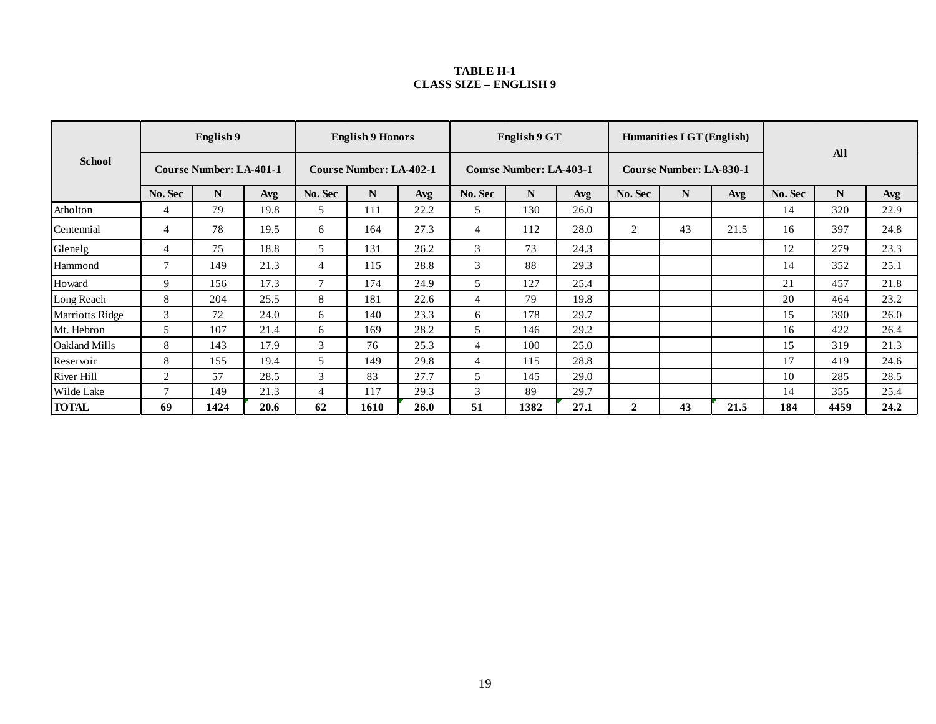#### **TABLE H-1 CLASS SIZE – ENGLISH 9**

| <b>School</b>          |                | English 9                      |      |                                | <b>English 9 Honors</b> |      |                                | English 9 GT |      |                | Humanities I GT (English)      |      |            |      |      |
|------------------------|----------------|--------------------------------|------|--------------------------------|-------------------------|------|--------------------------------|--------------|------|----------------|--------------------------------|------|------------|------|------|
|                        |                | <b>Course Number: LA-401-1</b> |      | <b>Course Number: LA-402-1</b> |                         |      | <b>Course Number: LA-403-1</b> |              |      |                | <b>Course Number: LA-830-1</b> |      | <b>All</b> |      |      |
|                        | No. Sec        | N                              | Avg  | No. Sec                        | N                       | Avg  | No. Sec                        | N            | Avg  | No. Sec        | N                              | Avg  | No. Sec    | N    | Avg  |
| Atholton               | 4              | 79                             | 19.8 | 5                              | 111                     | 22.2 | 5.                             | 130          | 26.0 |                |                                |      | 14         | 320  | 22.9 |
| Centennial             | 4              | 78                             | 19.5 | 6                              | 164                     | 27.3 | 4                              | 112          | 28.0 | 2              | 43                             | 21.5 | 16         | 397  | 24.8 |
| Glenelg                |                | 75                             | 18.8 | 5                              | 131                     | 26.2 | $\mathfrak{Z}$                 | 73           | 24.3 |                |                                |      | 12         | 279  | 23.3 |
| Hammond                | $\overline{7}$ | 149                            | 21.3 | $\overline{4}$                 | 115                     | 28.8 | 3                              | 88           | 29.3 |                |                                |      | 14         | 352  | 25.1 |
| Howard                 | 9              | 156                            | 17.3 | $\overline{ }$                 | 174                     | 24.9 | 5                              | 127          | 25.4 |                |                                |      | 21         | 457  | 21.8 |
| Long Reach             | 8              | 204                            | 25.5 | 8                              | 181                     | 22.6 | 4                              | 79           | 19.8 |                |                                |      | 20         | 464  | 23.2 |
| <b>Marriotts Ridge</b> | 3              | 72                             | 24.0 | 6                              | 140                     | 23.3 | 6                              | 178          | 29.7 |                |                                |      | 15         | 390  | 26.0 |
| Mt. Hebron             | 5              | 107                            | 21.4 | 6                              | 169                     | 28.2 | 5                              | 146          | 29.2 |                |                                |      | 16         | 422  | 26.4 |
| Oakland Mills          | 8              | 143                            | 17.9 | 3                              | 76                      | 25.3 | 4                              | 100          | 25.0 |                |                                |      | 15         | 319  | 21.3 |
| Reservoir              | 8              | 155                            | 19.4 | 5                              | 149                     | 29.8 | $\overline{4}$                 | 115          | 28.8 |                |                                |      | 17         | 419  | 24.6 |
| <b>River Hill</b>      | $\overline{2}$ | 57                             | 28.5 | 3                              | 83                      | 27.7 | 5                              | 145          | 29.0 |                |                                |      | 10         | 285  | 28.5 |
| Wilde Lake             | $\overline{ }$ | 149                            | 21.3 | 4                              | 117                     | 29.3 | 3                              | 89           | 29.7 |                |                                |      | 14         | 355  | 25.4 |
| <b>TOTAL</b>           | 69             | 1424                           | 20.6 | 62                             | 1610                    | 26.0 | 51                             | 1382         | 27.1 | $\overline{2}$ | 43                             | 21.5 | 184        | 4459 | 24.2 |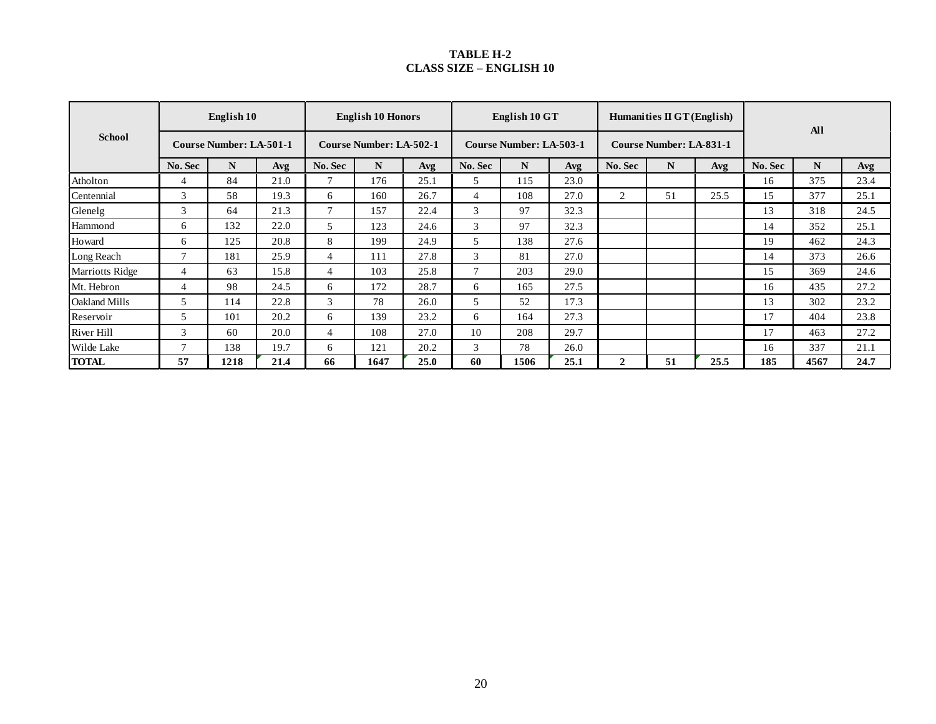#### **TABLE H-2 CLASS SIZE – ENGLISH 10**

| <b>School</b>   |                | English 10                     |      | <b>English 10 Honors</b>       |      |      |                | English 10 GT                  |      |             | Humanities $\Pi$ GT (English)  |      | <b>All</b> |      |      |
|-----------------|----------------|--------------------------------|------|--------------------------------|------|------|----------------|--------------------------------|------|-------------|--------------------------------|------|------------|------|------|
|                 |                | <b>Course Number: LA-501-1</b> |      | <b>Course Number: LA-502-1</b> |      |      |                | <b>Course Number: LA-503-1</b> |      |             | <b>Course Number: LA-831-1</b> |      |            |      |      |
|                 | No. Sec        | N                              | Avg  | No. Sec                        | N    | Avg  | No. Sec        | N                              | Avg  | No. Sec     | N                              | Avg  | No. Sec    | N    | Avg  |
| Atholton        | 4              | 84                             | 21.0 | 7                              | 176  | 25.1 | 5.             | 115                            | 23.0 |             |                                |      | 16         | 375  | 23.4 |
| Centennial      | 3              | 58                             | 19.3 | 6                              | 160  | 26.7 | 4              | 108                            | 27.0 | 2           | 51                             | 25.5 | 15         | 377  | 25.1 |
| Glenelg         | 3              | 64                             | 21.3 | $\overline{7}$                 | 157  | 22.4 | 3              | 97                             | 32.3 |             |                                |      | 13         | 318  | 24.5 |
| Hammond         | 6              | 132                            | 22.0 | 5                              | 123  | 24.6 | 3              | 97                             | 32.3 |             |                                |      | 14         | 352  | 25.1 |
| Howard          | 6              | 125                            | 20.8 | 8                              | 199  | 24.9 | 5              | 138                            | 27.6 |             |                                |      | 19         | 462  | 24.3 |
| Long Reach      | $\overline{7}$ | 181                            | 25.9 | 4                              | 111  | 27.8 | 3              | 81                             | 27.0 |             |                                |      | 14         | 373  | 26.6 |
| Marriotts Ridge | $\overline{4}$ | 63                             | 15.8 | $\overline{4}$                 | 103  | 25.8 | $\overline{ }$ | 203                            | 29.0 |             |                                |      | 15         | 369  | 24.6 |
| Mt. Hebron      | $\overline{4}$ | 98                             | 24.5 | 6                              | 172  | 28.7 | 6              | 165                            | 27.5 |             |                                |      | 16         | 435  | 27.2 |
| Oakland Mills   | 5              | 114                            | 22.8 | 3                              | 78   | 26.0 | 5              | 52                             | 17.3 |             |                                |      | 13         | 302  | 23.2 |
| Reservoir       | 5              | 101                            | 20.2 | 6                              | 139  | 23.2 | 6              | 164                            | 27.3 |             |                                |      | 17         | 404  | 23.8 |
| River Hill      | 3              | 60                             | 20.0 | 4                              | 108  | 27.0 | 10             | 208                            | 29.7 |             |                                |      | 17         | 463  | 27.2 |
| Wilde Lake      | $\overline{7}$ | 138                            | 19.7 | 6                              | 121  | 20.2 | 3              | 78                             | 26.0 |             |                                |      | 16         | 337  | 21.1 |
| <b>TOTAL</b>    | 57             | 1218                           | 21.4 | 66                             | 1647 | 25.0 | 60             | 1506                           | 25.1 | $\mathbf 2$ | 51                             | 25.5 | 185        | 4567 | 24.7 |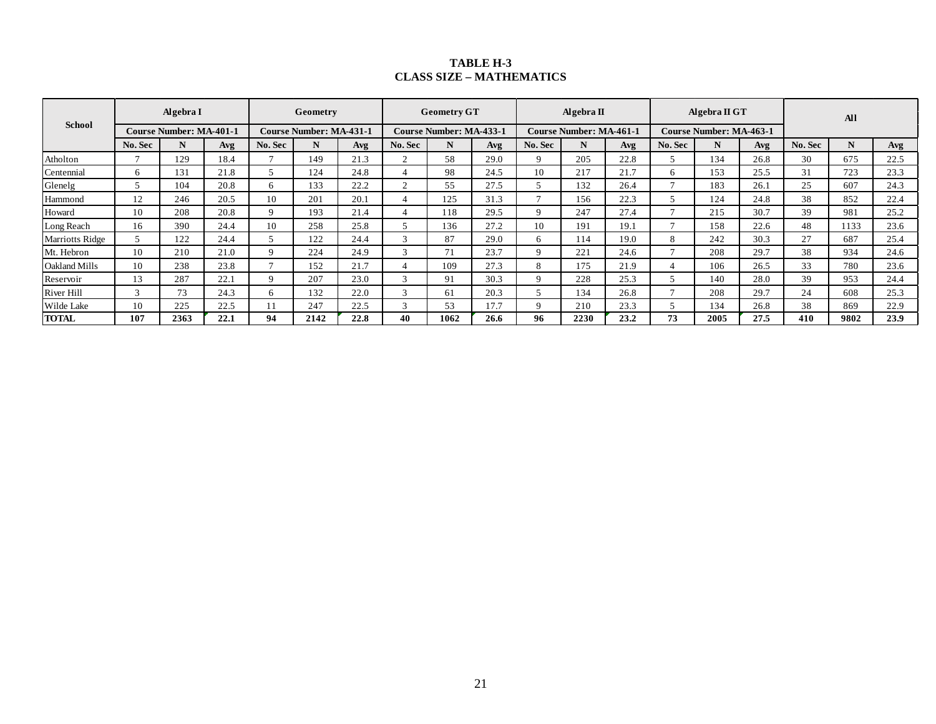### **TABLE H-3 CLASS SIZE – MATHEMATICS**

| <b>School</b>          |                                | Algebra I |      |                                | Geometry |      |                                | <b>Geometry GT</b> |                                | Algebra $\Pi$ |                         |      | Algebra $\Pi$ GT |      |      | All     |      |      |
|------------------------|--------------------------------|-----------|------|--------------------------------|----------|------|--------------------------------|--------------------|--------------------------------|---------------|-------------------------|------|------------------|------|------|---------|------|------|
|                        | <b>Course Number: MA-401-1</b> |           |      | <b>Course Number: MA-431-1</b> |          |      | <b>Course Number: MA-433-1</b> |                    | <b>Course Number: MA-461-1</b> |               | Course Number: MA-463-1 |      |                  |      |      |         |      |      |
|                        | No. Sec                        | N         | Avg  | No. Sec                        | N        | Avg  | No. Sec                        | N                  | Avg                            | No. Sec       | N                       | Avg  | No. Sec          | N    | Avg  | No. Sec | N    | Avg  |
| Atholton               | Ξ.                             | 129       | 18.4 |                                | 149      | 21.3 | $\sim$                         | 58                 | 29.0                           | $\mathbf Q$   | 205                     | 22.8 |                  | 134  | 26.8 | 30      | 675  | 22.5 |
| Centennial             | 6                              | 131       | 21.8 |                                | 124      | 24.8 |                                | 98                 | 24.5                           | 10            | 217                     | 21.7 | 6                | 153  | 25.5 | 31      | 723  | 23.3 |
| Glenelg                |                                | 104       | 20.8 | 6                              | 133      | 22.2 |                                | 55                 | 27.5                           |               | 132                     | 26.4 |                  | 183  | 26.1 | 25      | 607  | 24.3 |
| Hammond                | 12                             | 246       | 20.5 | 10                             | 201      | 20.1 |                                | 125                | 31.3                           | $\mathbf{r}$  | 156                     | 22.3 |                  | 124  | 24.8 | 38      | 852  | 22.4 |
| Howard                 | 10                             | 208       | 20.8 | 9                              | 193      | 21.4 |                                | 118                | 29.5                           | $\mathbf Q$   | 247                     | 27.4 |                  | 215  | 30.7 | 39      | 981  | 25.2 |
| Long Reach             | 16                             | 390       | 24.4 | 10                             | 258      | 25.8 |                                | 136                | 27.2                           | 10            | 191                     | 19.1 |                  | 158  | 22.6 | 48      | 1133 | 23.6 |
| <b>Marriotts Ridge</b> | C                              | 122       | 24.4 |                                | 122      | 24.4 |                                | 87                 | 29.0                           | 6             | 114                     | 19.0 | 8                | 242  | 30.3 | 27      | 687  | 25.4 |
| Mt. Hebron             | 10                             | 210       | 21.0 | Q                              | 224      | 24.9 |                                | 71                 | 23.7                           | Q             | 221                     | 24.6 |                  | 208  | 29.7 | 38      | 934  | 24.6 |
| <b>Oakland Mills</b>   | 10                             | 238       | 23.8 |                                | 152      | 21.7 |                                | 109                | 27.3                           | 8             | 175                     | 21.9 |                  | 106  | 26.5 | 33      | 780  | 23.6 |
| Reservoir              | 13                             | 287       | 22.1 | $\mathbf Q$                    | 207      | 23.0 | $\mathbf{\overline{3}}$        | 91                 | 30.3                           | 9             | 228                     | 25.3 |                  | 140  | 28.0 | 39      | 953  | 24.4 |
| River Hill             | $\mathcal{R}$                  | 73        | 24.3 | 6                              | 132      | 22.0 | $\mathbf{R}$                   | 61                 | 20.3                           |               | 134                     | 26.8 |                  | 208  | 29.7 | 24      | 608  | 25.3 |
| Wilde Lake             | 10                             | 225       | 22.5 |                                | 247      | 22.5 | $\mathbf{\overline{3}}$        | 53                 | 17.7                           | $\mathbf Q$   | 210                     | 23.3 |                  | 134  | 26.8 | 38      | 869  | 22.9 |
| <b>TOTAL</b>           | 107                            | 2363      | 22.1 | 94                             | 2142     | 22.8 | 40                             | 1062               | 26.6                           | 96            | 2230                    | 23.2 | 73               | 2005 | 27.5 | 410     | 9802 | 23.9 |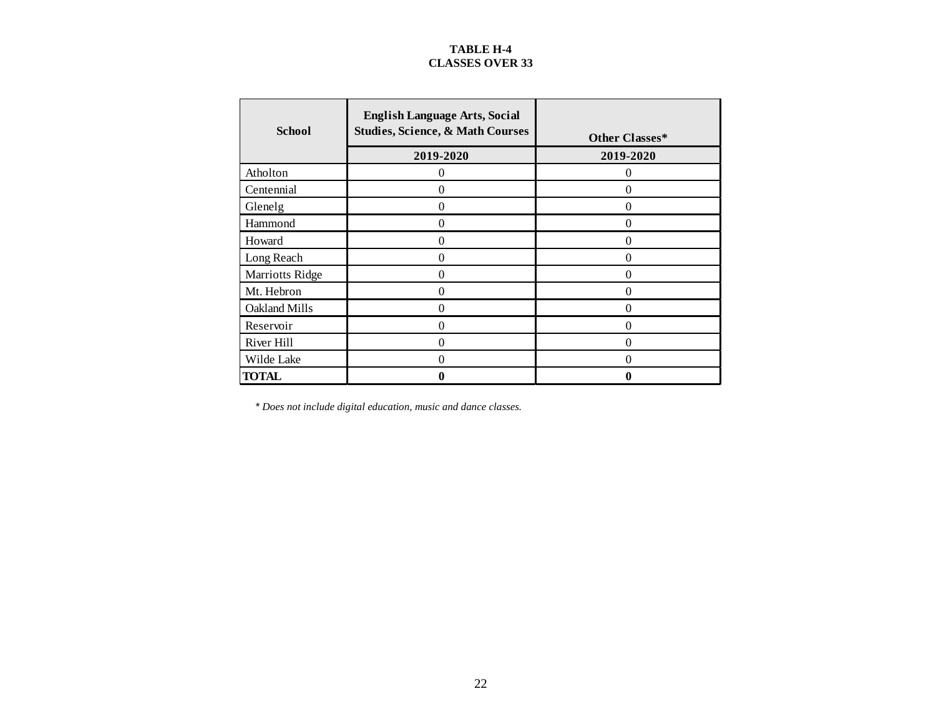## **TABLE H-4 CLASSES OVER 33**

| <b>School</b>   | <b>English Language Arts, Social</b><br><b>Studies, Science, &amp; Math Courses</b> | Other Classes* |
|-----------------|-------------------------------------------------------------------------------------|----------------|
|                 | 2019-2020                                                                           | 2019-2020      |
| Atholton        | 0                                                                                   | $\overline{0}$ |
| Centennial      | 0                                                                                   | $\Omega$       |
| Glenelg         | 0                                                                                   | $\theta$       |
| Hammond         | $\Omega$                                                                            | $\Omega$       |
| Howard          | $\theta$                                                                            | $\theta$       |
| Long Reach      | 0                                                                                   | $\theta$       |
| Marriotts Ridge | 0                                                                                   | $\Omega$       |
| Mt. Hebron      | $\theta$                                                                            | $\theta$       |
| Oakland Mills   | $\Omega$                                                                            | $\theta$       |
| Reservoir       | $\theta$                                                                            | $\theta$       |
| River Hill      | 0                                                                                   | $\overline{0}$ |
| Wilde Lake      | $\Omega$                                                                            | $\theta$       |
| TOTAL           | 0                                                                                   | 0              |

*\* Does not include digital education, music and dance classes.*